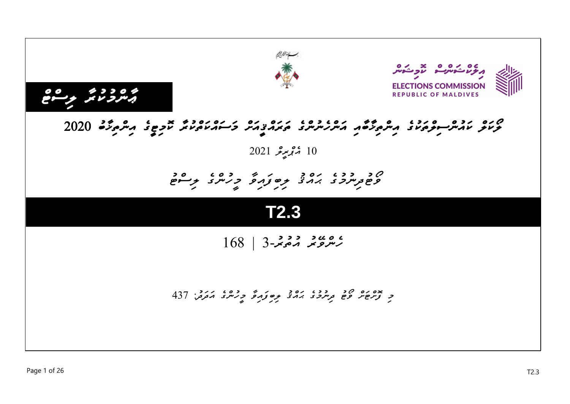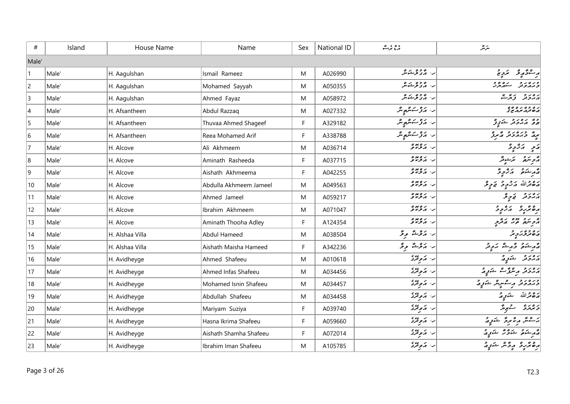| #              | Island | House Name      | Name                   | Sex       | National ID | ، ه ، مرگ                  | ىئرىتر                                                                                                                                                                                                                          |
|----------------|--------|-----------------|------------------------|-----------|-------------|----------------------------|---------------------------------------------------------------------------------------------------------------------------------------------------------------------------------------------------------------------------------|
| Male'          |        |                 |                        |           |             |                            |                                                                                                                                                                                                                                 |
| $\vert$ 1      | Male'  | H. Aagulshan    | Ismail Rameez          | M         | A026990     | ر. گەرمى ئەشكەنلەر         | رېشۇرې ئرې                                                                                                                                                                                                                      |
| $ 2\rangle$    | Male'  | H. Aagulshan    | Mohamed Sayyah         | M         | A050355     | ر. گەرمۇشەھ                | ورەرو رەپرو<br>ورمەدىر سەمەرز                                                                                                                                                                                                   |
| <sub>3</sub>   | Male'  | H. Aagulshan    | Ahmed Fayaz            | M         | A058972     | ر. گەرمى ئەشكەنلەر         | رەرد زېژے                                                                                                                                                                                                                       |
| $\overline{4}$ | Male'  | H. Afsantheen   | Abdul Razzaq           | M         | A027332     | ر. ئەبۇسەھرىقە             |                                                                                                                                                                                                                                 |
| $\overline{5}$ | Male'  | H. Afsantheen   | Thuvaa Ahmed Shageef   | F         | A329182     | ر. ئەبۇسەمىي ش             | وه بروبر و شری                                                                                                                                                                                                                  |
| $\overline{6}$ | Male'  | H. Afsantheen   | Reea Mohamed Arif      | F         | A338788     | ر. ئەزىسەمبۇمىر            | در در در در د                                                                                                                                                                                                                   |
| 7              | Male'  | H. Alcove       | Ali Akhmeem            | ${\sf M}$ | A036714     | ر ەپرە<br>ر. مەنزىرى       | ړې پروېږ                                                                                                                                                                                                                        |
| 8              | Male'  | H. Alcove       | Aminath Rasheeda       | F         | A037715     | ر ەيدە<br>ر. مەممى         | أأدو مكوم المتكر المحمد                                                                                                                                                                                                         |
| 9              | Male'  | H. Alcove       | Aishath Akhmeema       | F         | A042255     | ر مروسره<br>ر· مرکونو      | و المستوفر المراكب و المحمد المستور                                                                                                                                                                                             |
| 10             | Male'  | H. Alcove       | Abdulla Akhmeem Jameel | ${\sf M}$ | A049563     | ر بروبره<br>ر· بروبرو      | مَصْعَدَاللَّهُ مَنْ حِرِّ مَحِرِ مِنْ                                                                                                                                                                                          |
| 11             | Male'  | H. Alcove       | Ahmed Jameel           | ${\sf M}$ | A059217     | ر ەپرە<br>ر. مەنزىرى       | ג פי ב ב ב ב ב                                                                                                                                                                                                                  |
| 12             | Male'  | H. Alcove       | Ibrahim Akhmeem        | M         | A071047     | ر بروبره<br>ر· بروبرو      | رە ئەر ئەرەر                                                                                                                                                                                                                    |
| 13             | Male'  | H. Alcove       | Aminath Thooha Adley   | F         | A124354     | ر ەرەپرە<br>ر. مەنزىرى     | أو برو دونو بره به                                                                                                                                                                                                              |
| 14             | Male'  | H. Alshaa Villa | Abdul Hameed           | ${\sf M}$ | A038504     | ر. ئەقرىقە بوق             | ره وه ر در<br>مگاه ترڅه د تر                                                                                                                                                                                                    |
| 15             | Male'  | H. Alshaa Villa | Aishath Maisha Hameed  | F         | A342236     | ر. كەنۇشگە بوگە            | مەم شەھ كەر شەك بەي قر                                                                                                                                                                                                          |
| 16             | Male'  | H. Avidheyge    | Ahmed Shafeeu          | M         | A010618     | ر به تروین                 | رەرو خۇر                                                                                                                                                                                                                        |
| 17             | Male'  | H. Avidheyge    | Ahmed Infas Shafeeu    | M         | A034456     | ر . مرَّوِيْرَى            | ړه د ته رسرتی شرو په                                                                                                                                                                                                            |
| 18             | Male'  | H. Avidheyge    | Mohamed Isnin Shafeeu  | M         | A034457     | ر . مرَّوِقْرَى            | ورەرو رىشپرىگر خۇرچ                                                                                                                                                                                                             |
| 19             | Male'  | H. Avidheyge    | Abdullah Shafeeu       | M         | A034458     | ر په کموترو                | <i>مەھ</i> قراللە خىر <i>وم</i>                                                                                                                                                                                                 |
| 20             | Male'  | H. Avidheyge    | Mariyam Suziya         | F         | A039740     | ر . مرَّوِيْرِی            | دەرە ئەر                                                                                                                                                                                                                        |
| 21             | Male'  | H. Avidheyge    | Hasna Ikrima Shafeeu   | F         | A059660     | ر پروتری                   | ى ھەنگە مەلا بىرگە ھەر كە                                                                                                                                                                                                       |
| 22             | Male'  | H. Avidheyge    | Aishath Shamha Shafeeu | F         | A072014     | ر به کمرونده<br>ر به کمرون | و المراد و المراد و المراد و المراد و المراد و المراد و المراد و المراد و المراد و المراد و المراد و المراد و<br>المراد و المراد و المراد و المراد و المراد و المراد و المراد و المراد و المراد و المراد و المراد و المراد و ال |
| 23             | Male'  | H. Avidheyge    | Ibrahim Iman Shafeeu   | M         | A105785     | ر . مرَّوِ تَرَى           | رەپرىدە بېۋىر خزړة                                                                                                                                                                                                              |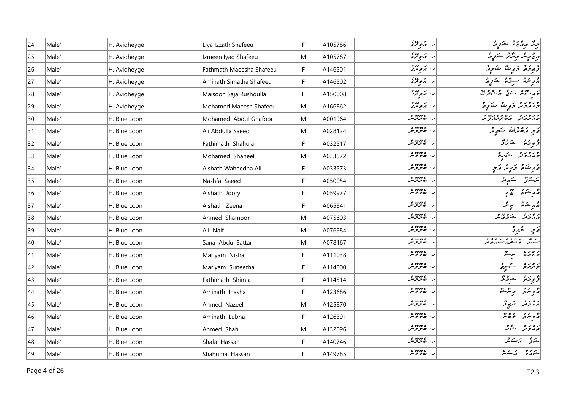| 24 | Male' | H. Avidheyge | Liya Izzath Shafeeu      | F         | A105786 | ر· مرَّحوِتْرَى<br>ر· مرَّح               | ديژ مرمځ ځوړه                                 |
|----|-------|--------------|--------------------------|-----------|---------|-------------------------------------------|-----------------------------------------------|
| 25 | Male' | H. Avidheyge | Izmeen Iyad Shafeeu      | ${\sf M}$ | A105787 | ر . مرّه ۵۵<br>ر . مرّه قری               | أرجمي شر مرتزند المسكورة                      |
| 26 | Male' | H. Avidheyge | Fathmath Maeesha Shafeeu | F         | A146501 | ر٠ دکم وتوری<br>ر                         | وتجارح وياسم المنور                           |
| 27 | Male' | H. Avidheyge | Aminath Simatha Shafeeu  | F         | A146502 | ر· پرَوِتْرُد                             | أأوسم سوقهم كور                               |
| 28 | Male' | H. Avidheyge | Maisoon Saja Rushdulla   | F         | A150008 | ر· مرَّحوقری<br>ر· مرکوفری                | ى مەدەم كەنجە مەشەرگەللە                      |
| 29 | Male' | H. Avidheyge | Mohamed Maeesh Shafeeu   | M         | A166862 | ر . مرّه ۵۵<br>ر . مرّه قری               | ورەر دېر چې خړې                               |
| 30 | Male' | H. Blue Loon | Mohamed Abdul Ghafoor    | ${\sf M}$ | A001964 | ه دوووه<br>ر۰ گ <i>ه <del>و و</del> س</i> | כנסנכ נסכסנכב<br>כגמכנ מסנגמציג               |
| 31 | Male' | H. Blue Loon | Ali Abdulla Saeed        | M         | A028124 | ه دوووه<br>ر۰ گ <i>امو</i> مبر            | أُمَّحٍ مَدْهُ مَّدَاللَّهُ حَمَّدٍ مَّدَّ    |
| 32 | Male' | H. Blue Loon | Fathimath Shahula        | F         | A032517 | ه دودوه<br>ر۰ گامومتر                     | و محمد المستوريخ                              |
| 33 | Male' | H. Blue Loon | Mohamed Shaheel          | M         | A033572 | ه دودوه<br>ر۰ گامومتر                     | ورەرو شەرو                                    |
| 34 | Male' | H. Blue Loon | Aishath Waheedha Ali     | F         | A033573 | ه دددو ه<br><i>ه م</i> رمر س              | مەر خىم كەيگە مەر                             |
| 35 | Male' | H. Blue Loon | Nashfa Saeed             | F         | A050054 | ه دودوه<br>ر۰ گامومتر                     | س شور محمد بر در در این می باشد.<br>استر شورش |
| 36 | Male' | H. Blue Loon | Aishath Joory            | F         | A059977 | ه دودوه<br>ر۰ گ <i>ه مو</i> موس           | پ <sup>و</sup> مرشتمو<br>م<br>ود<br>فع مجر    |
| 37 | Male' | H. Blue Loon | Aishath Zeena            | F         | A065341 | ه دودوه<br>ر۰ گامومتر                     | قەرشۇق يېتىگە                                 |
| 38 | Male' | H. Blue Loon | Ahmed Shamoon            | M         | A075603 | ه دودوه<br>پ <i>ه ن پو</i> مبر            | شە ە دو ە<br>برەر د                           |
| 39 | Male' | H. Blue Loon | Ali Naif                 | ${\sf M}$ | A076984 | ە دەدە ە<br>رەسى ھەر بىر                  | أەسم متمرقر                                   |
| 40 | Male' | H. Blue Loon | Sana Abdul Sattar        | ${\sf M}$ | A078167 | ه دودوه<br>ر۰ گ <i>ه مو</i> موس           | ر په ده ده ره په د<br>سرش مه همدر سهم پر      |
| 41 | Male' | H. Blue Loon | Mariyam Nisha            | F         | A111038 | ه دودوه<br>ر۰ گامومتر                     | ر ه ر ه<br><del>ر</del> بربر ژ<br>سرڪ         |
| 42 | Male' | H. Blue Loon | Mariyam Suneetha         | F         | A114000 | ه دودوه<br>ر۰ گامومتر                     | ر ه ر ه<br><del>د</del> بربر د<br>سەسرە       |
| 43 | Male' | H. Blue Loon | Fathimath Shimla         | F         | A114514 | ه دودوه<br>ر۰ گامونوس                     | ۇ بوز م<br>شەۋگە                              |
| 44 | Male' | H. Blue Loon | Aminath Inasha           | F         | A123686 | ە دەدە ە<br>ر. ھىرىپ                      | أزويته ريترية                                 |
| 45 | Male' | H. Blue Loon | Ahmed Nazeel             | M         | A125870 | ه دوووه<br>ر۰ گ <i>ه <del>و و</del> س</i> | دور د سری                                     |
| 46 | Male' | H. Blue Loon | Aminath Lubna            | F         | A126391 | ه دودوه<br>ر۰ گ <i>ام</i> ونوس            | أأزديتهم فرهتر                                |
| 47 | Male' | H. Blue Loon | Ahmed Shah               | M         | A132096 | ه دودوه<br>ر۰ گامومتر                     | رەر ئەر                                       |
| 48 | Male' | H. Blue Loon | Shafa Hassan             | F         | A140746 | ە دەدە ە<br>رەسى ھەر بىر                  | ىش <i>ۇ باشكى</i> ر                           |
| 49 | Male' | H. Blue Loon | Shahuma Hassan           | F         | A149785 | ه دودوه<br>ر۰ گ <i>ه مو</i> موس           | شەرق بەسەس                                    |
|    |       |              |                          |           |         |                                           |                                               |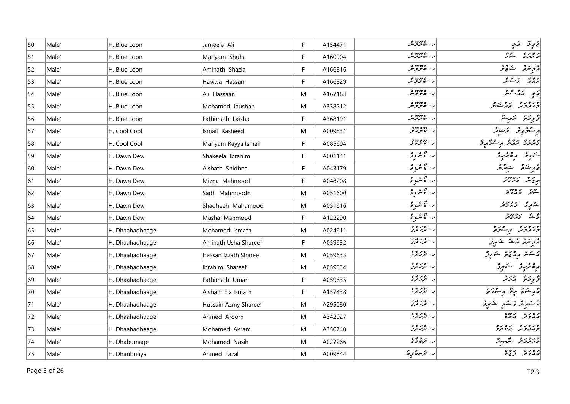| 50 | Male' | H. Blue Loon    | Jameela Ali           | F           | A154471 | ه دودوه<br>ر۰ گامومتر               | تحاويخن الكامج                                          |
|----|-------|-----------------|-----------------------|-------------|---------|-------------------------------------|---------------------------------------------------------|
|    | Male' | H. Blue Loon    |                       |             | A160904 | ه دودوه<br>ر۰ گ <i>ه مو</i> موس     | ره ره دي                                                |
| 51 |       |                 | Mariyam Shuha         | F           |         |                                     |                                                         |
| 52 | Male' | H. Blue Loon    | Aminath Shazla        | F           | A166816 | ه دودوه<br>ر۰ گ <i>ه مو</i> موس     | أثرجر سنتمر                                             |
| 53 | Male' | H. Blue Loon    | Hawwa Hassan          | F           | A166829 | ه دودوه<br>ر۰ گامومتر               | پروژ برستمبر                                            |
| 54 | Male' | H. Blue Loon    | Ali Hassaan           | M           | A167183 | ه دودوه<br>ر۰ م <i>ونو</i> س        |                                                         |
| 55 | Male' | H. Blue Loon    | Mohamed Jaushan       | ${\sf M}$   | A338212 | ه دودوه<br>ر۰ م <i>ونو</i> س        | ورەرو روپىر                                             |
| 56 | Male' | H. Blue Loon    | Fathimath Laisha      | F           | A368191 | ه دوووه<br>ر۰ گ <i>ه مو</i> موس     | أزَّوِدَةً وَرِحَةً                                     |
| 57 | Male' | H. Cool Cool    | Ismail Rasheed        | M           | A009831 | د ده دده<br>ر۰ مومو                 | أبر سرى تحريد تر تر شورتر                               |
| 58 | Male' | H. Cool Cool    | Mariyam Rayya Ismail  | $\mathsf F$ | A085604 | ر. دوه دوه<br>ر. ما و ما و          | במתכ מגות תשיכתי                                        |
| 59 | Male' | H. Dawn Dew     | Shakeela Ibrahim      | $\mathsf F$ | A001141 | ر، ۽ مٿرو                           | شَرْرِ قَدْ مِرْهُ مَرْرِدْ                             |
| 60 | Male' | H. Dawn Dew     | Aishath Shidhna       | F           | A043179 | بالمعجموظ                           | ر<br>دگرم شکوه کشوهرسگر                                 |
| 61 | Male' | H. Dawn Dew     | Mizna Mahmood         | F           | A048208 | به عقيده                            |                                                         |
| 62 | Male' | H. Dawn Dew     | Sadh Mahmoodh         | M           | A051600 | بالمعجفوظ                           | ر ده دره دره در د<br>سگهل از کاربرو تو                  |
| 63 | Male' | H. Dawn Dew     | Shadheeh Mahamood     | ${\sf M}$   | A051616 | ر، ۽ مٿرو                           | شَرَور به دورو                                          |
| 64 | Male' | H. Dawn Dew     | Masha Mahmood         | F           | A122290 | ر، ۽ ش <sub>ع</sub> و               | د شه د د د د                                            |
| 65 | Male' | H. Dhaahadhaage | Mohamed Ismath        | ${\sf M}$   | A024611 | ر به عربه <i>ی</i><br>ر گرگوری      | ورەرو بەسوھ                                             |
| 66 | Male' | H. Dhaahadhaage | Aminath Usha Shareef  | F           | A059632 | ر به مربر بر بر<br>ر ·     قرر توری | أأرد بنرو أوسق سوبرو                                    |
| 67 | Male' | H. Dhaahadhaaqe | Hassan Izzath Shareef | M           | A059633 | ر به مربر بر بر<br>ر ·     قرر توری | ير سەش مەم بىچ مۇسىر ئىستىر                             |
| 68 | Male' | H. Dhaahadhaaqe | Ibrahim Shareef       | M           | A059634 | ر به برن به بر<br>ر ·   ترکری       | أرەنزىر ئىنجو                                           |
| 69 | Male' | H. Dhaahadhaage | Fathimath Umar        | F           | A059635 | ر به عربه <i>ب</i><br>ر ·   ترکری   | و د در در                                               |
| 70 | Male' | H. Dhaahadhaage | Aishath Ela Ismath    | $\mathsf F$ | A157438 | ر به بربر به بر<br>ر ·   ترکری      | ړ ر شکنې د پرې د سر د د د                               |
| 71 | Male' | H. Dhaahadhaaqe | Hussain Azmy Shareef  | M           | A295080 | ر به عربه <i>ی</i><br>ر کرگروی      | چستمرینز ړیشنې ختمېږ                                    |
| 72 | Male' | H. Dhaahadhaage | Ahmed Aroom           | ${\sf M}$   | A342027 | ر به در بر بر<br>ر ۰ قررتوری        | גם ג כרס<br>הגבה היבב                                   |
| 73 | Male' | H. Dhaahadhaage | Mohamed Akram         | ${\sf M}$   | A350740 | ر به بربر به بر<br>ر ·   ترکری      | و ره ر و<br><i>و پر</i> پر تر<br>ەر ئەيرى               |
| 74 | Male' | H. Dhabumage    | Mohamed Nasih         | ${\sf M}$   | A027266 | ر و ه و.<br>ر· ترخ و ی              | و ره ر و<br><i>و پر</i> پر <del>و</del> تر<br>ىئرىبىدىر |
| 75 | Male' | H. Dhanbufiya   | Ahmed Fazal           | M           | A009844 | ر، ترسھوبر                          | رەر دىپى                                                |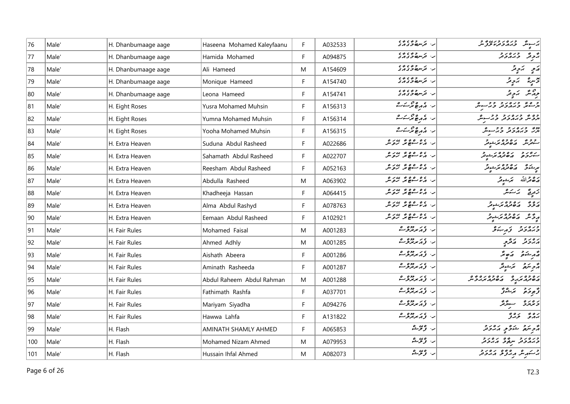| 76  | Male' | H. Dhanbumaage aage | Haseena Mohamed Kaleyfaanu | F         | A032533 | ر. ترس و د ۲۵۵۰<br>ر. ترس ه تر ۲۵۲۶                 | ر سوسی دره روری دو.<br>بر سوسی دربرد تربر توتر س                                                                       |
|-----|-------|---------------------|----------------------------|-----------|---------|-----------------------------------------------------|------------------------------------------------------------------------------------------------------------------------|
| 77  | Male' | H. Dhanbumaage aage | Hamida Mohamed             | F         | A094875 | ر. ترسره و د و د و<br>ر. ترسره و د د و              | گرونگر وبره د و                                                                                                        |
| 78  | Male' | H. Dhanbumaage aage | Ali Hameed                 | M         | A154609 | ر. ترسره د د پ<br>ر. ترس ه تر پر پ                  | ړَی پروپر                                                                                                              |
| 79  | Male' | H. Dhanbumaage aage | Monique Hameed             | F         | A154740 | ر وسره ده ده<br>ر ترس ه د د د                       | بي پر پر برگرد محمد استفاده می برد.<br>محمد برابر محمد استفاده محمد استفاده می برد.<br>محمد برابر محمد استفاده می برد. |
| 80  | Male' | H. Dhanbumaage aage | Leona Hameed               | F         | A154741 | ر و ده ده ده<br>ر ترس و در در                       | جەنگە ئەچە                                                                                                             |
| 81  | Male' | H. Eight Roses      | Yusra Mohamed Muhsin       | F         | A156313 | ر. ئەمۋېرىكىت                                       | כ ס זי כנסני כי כי היות<br>תוכנו כמוכנו כי היות                                                                        |
| 82  | Male' | H. Eight Roses      | Yumna Mohamed Muhsin       | F         | A156314 | ر. مرموع شرعت                                       | כם זי כנסגר כרכ<br>תכית כממכת כמיית                                                                                    |
| 83  | Male' | H. Eight Roses      | Yooha Mohamed Muhsin       | F         | A156315 | ر. كەرەپچە ئەسەب                                    | מש כנסנפ כב<br>תל כגובת כגבית                                                                                          |
| 84  | Male' | H. Extra Heaven     | Suduna Abdul Rasheed       | F         | A022686 |                                                     | د و د کار ده وه د سوتر<br>سنترس د کاه ترور مرشوتر                                                                      |
| 85  | Male' | H. Extra Heaven     | Sahamath Abdul Rasheed     | F         | A022707 | ، کا دوه پر عدد ه                                   | ر در در ده ده در در در<br>سنروه در محمد در شوتر                                                                        |
| 86  | Male' | H. Extra Heaven     | Reesham Abdul Rasheed      | F         | A052163 | ر می وه په موره                                     | مورشو ده وه د و<br>موشوف ایره تورو بوشوتر                                                                              |
| 87  | Male' | H. Extra Heaven     | Abdulla Rasheed            | M         | A063902 | ر. وه وه و و دره                                    | مَدْ مَدَّاللَّهُ مَرَسْوِمْر                                                                                          |
| 88  | Male' | H. Extra Heaven     | Khadheeja Hassan           | F         | A064415 | ، دراسوم ماره                                       | زَمِرِةٌ   بَرَسَرْسٌ                                                                                                  |
| 89  | Male' | H. Extra Heaven     | Alma Abdul Rashyd          | F         | A078763 | ، ماه ۱۵۵ میلاده<br>را ماه سو <mark>ج</mark> برگرمل | ره و ده ده در در<br>مرکز مان مرد برخونر                                                                                |
| 90  | Male' | H. Extra Heaven     | Eemaan Abdul Rasheed       | F         | A102921 | ر ماه ۱۵۵۵ میلاده                                   | أرقر شاه ده بالمستوفر                                                                                                  |
| 91  | Male' | H. Fair Rules       | Mohamed Faisal             | M         | A001283 | ر. پېړېږ چې                                         | ورەرو تەرىبى                                                                                                           |
| 92  | Male' | H. Fair Rules       | Ahmed Adhly                | M         | A001285 | ر. ۇ ئەبرىروگ                                       | پروتر پروپو                                                                                                            |
| 93  | Male' | H. Fair Rules       | Aishath Abeera             | F         | A001286 | ر. ۇ ئەبرىروگ                                       | ړه خو ده د                                                                                                             |
| 94  | Male' | H. Fair Rules       | Aminath Rasheeda           | F         | A001287 | ر، زەئىرىروم                                        | أأرجاح أترشوش                                                                                                          |
| 95  | Male' | H. Fair Rules       | Abdul Raheem Abdul Rahman  | M         | A001288 | ر. ۇ ئەبرىر ۋە                                      | נס כסנים נס כסנס בם                                                                                                    |
| 96  | Male' | H. Fair Rules       | Fathimath Rashfa           | F         | A037701 | ر، زەئىرىروم                                        | و محمد المستحركة المستحركة                                                                                             |
| 97  | Male' | H. Fair Rules       | Mariyam Siyadha            | F         | A094276 | ر. پېړېږ چې                                         | د ۱۵ د ۱۹۴۰<br>  د بربر د سوسرتر                                                                                       |
| 98  | Male' | H. Fair Rules       | Hawwa Lahfa                | F         | A131822 | ر. ۇ ئەبرىروگ                                       | رە ئەرەپ                                                                                                               |
| 99  | Male' | H. Flash            | AMINATH SHAMLY AHMED       | F         | A065853 | ر. وی د                                             | أأروبتهم الشوفر أيروفر                                                                                                 |
| 100 | Male' | H. Flash            | Mohamed Nizam Ahmed        | M         | A079953 | ر. وی د                                             | ورەر د سرچە رەر د<br>دېرمردىر سرچى مەدونر                                                                              |
| 101 | Male' | H. Flash            | Hussain Ihfal Ahmed        | ${\sf M}$ | A082073 | ر. وی پی                                            | پر شهر شهر مرد در مدر در د                                                                                             |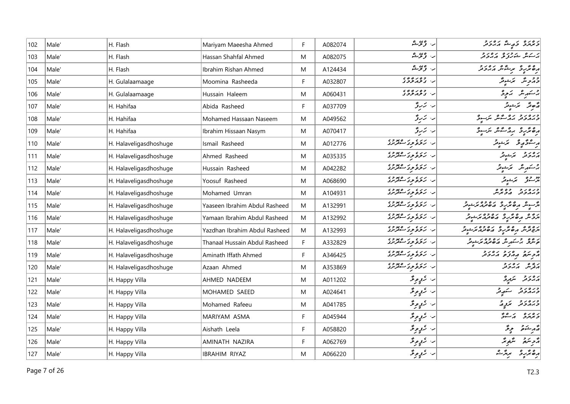| 102 | Male' | H. Flash               | Mariyam Maeesha Ahmed         | F  | A082074 | ر. وی د                                         | وبرارو ويسط كالادو                         |
|-----|-------|------------------------|-------------------------------|----|---------|-------------------------------------------------|--------------------------------------------|
| 103 | Male' | H. Flash               | Hassan Shahfal Ahmed          | M  | A082075 | ر. وی د                                         | يەسەھ ھەرۋى بەلەر ئ                        |
| 104 | Male' | H. Flash               | Ibrahim Rishan Ahmed          | M  | A124434 | ر. وی د                                         | مەھرىرى برىشىر مەددىر                      |
| 105 | Male' | H. Gulalaamaage        | Moomina Rasheeda              | F  | A032807 | ر وه روبور<br>ر ک <b>وپرنژ</b> وی               | وأروش الكرجوش                              |
| 106 | Male' | H. Gulalaamaage        | Hussain Haleem                | M  | A060431 | ر وه روره<br>ر ک <b>وپرنژ</b> وی                | يز ڪري ڪري ج                               |
| 107 | Male' | H. Hahifaa             | Abida Rasheed                 | F  | A037709 | ر، زروٌ                                         | مُّ صِمَّ مَمْشِيْتُر                      |
| 108 | Male' | H. Hahifaa             | Mohamed Hassaan Naseem        | M  | A049562 | ر. ژروٌ                                         | ورەرو رە مەھ س سى                          |
| 109 | Male' | H. Hahifaa             | Ibrahim Hissaan Nasym         | M  | A070417 | ر، زروٌ                                         | رە <i>غرى</i> رۇ بەرگەش <sub>مەكسو</sub> ۋ |
| 110 | Male' | H. Halaveligasdhoshuge | Ismail Rasheed                | M  | A012776 | ر کري تور ه پود ۽<br>رو کوڻ تور سي ترين         | ىرىشۇرچە ئىشىر                             |
| 111 | Male' | H. Halaveligasdhoshuge | Ahmed Rasheed                 | M  | A035335 |                                                 | رەر د<br>مەركى كەشىھ                       |
| 112 | Male' | H. Halaveligasdhoshuge | Hussain Rasheed               | M  | A042282 | ر کري د کارو د د د و                            | رحم المرکز استر میں تقریبات کر             |
| 113 | Male' | H. Halaveligasdhoshuge | Yoosuf Rasheed                | M  | A068690 | ر به تری در ۱۳۶۵ و د<br>ر به ترکوه موتی سفورسری | وواج والمخرشوقر                            |
| 114 | Male' | H. Halaveligasdhoshuge | Mohamed Umran                 | M  | A104931 | ر کری توری گروه و د<br>ر کوتونوی گروه توری      | כנסנכ כסבים<br>כממכני מכיליי               |
| 115 | Male' | H. Halaveligasdhoshuge | Yaaseen Ibrahim Abdul Rasheed | M  | A132991 | ر کرکا دی گروپو دی<br>ر کوگونوی کشور دی         | ת לייל תפתיק הפנה תייני                    |
| 116 | Male' | H. Halaveligasdhoshuge | Yamaan Ibrahim Abdul Rasheed  | M  | A132992 | ر کرد ہ<br>رسکوٹی توری سنگوری                   | קורית תסתקיק הסנקה תיינית                  |
| 117 | Male' | H. Halaveligasdhoshuge | Yazdhan Ibrahim Abdul Rasheed | M  | A132993 | ر به زره در ۱۶۶۵ و د<br>ر به زنود در کرد در در  | קס מס הסתקים הסתחת ובית                    |
| 118 | Male' | H. Halaveligasdhoshuge | Thanaal Hussain Abdul Rasheed | F. | A332829 | ر کري پر ويو و ۽<br>ر کوئ پر ويون               | ק מיטר הרייני הסמה מייני                   |
| 119 | Male' | H. Halaveligasdhoshuge | Aminath Iffath Ahmed          | F  | A346425 | ر به زره در ۱۶۶۵ و د<br>ر به زنود در کرد در در  | הכיעם ההנים הגבת                           |
| 120 | Male' | H. Halaveligasdhoshuge | Azaan Ahmed                   | M  | A353869 | ر کری در مصرور<br>ر کوه بوی سه توسری            | ر پر مدر در د<br>مقرش مدر مد               |
| 121 | Male' | H. Happy Villa         | AHMED NADEEM                  | M  | A011202 | ر. ژوپه وگ                                      | رەر تەرۋ                                   |
| 122 | Male' | H. Happy Villa         | MOHAMED SAEED                 | M  | A024641 | ر. ژوړو و                                       | و ر ه ر و<br>تر پر تر تر<br>ستهر قر        |
| 123 | Male' | H. Happy Villa         | Mohamed Rafeeu                | M  | A041785 | ر، ر <sub>ک</sub> ړ <sub>ون</sub> و             | ورەر دىر                                   |
| 124 | Male' | H. Happy Villa         | MARIYAM ASMA                  | F. | A045944 | ر. ژوٍ وِ وَ                                    | برمشق<br>ر ه ر ه<br><del>د</del> بربرگر    |
| 125 | Male' | H. Happy Villa         | Aishath Leela                 | F. | A058820 | ر کودگی                                         | لمجمر مشكرة<br>جرگر                        |
| 126 | Male' | H. Happy Villa         | AMINATH NAZIRA                | F  | A062769 | ر. ژوپه وگ                                      | متَرەپر<br>ړځ سره                          |
| 127 | Male' | H. Happy Villa         | IBRAHIM RIYAZ                 | M  | A066220 | ر. رگوه دیگر                                    | رەنزىر بىرگ                                |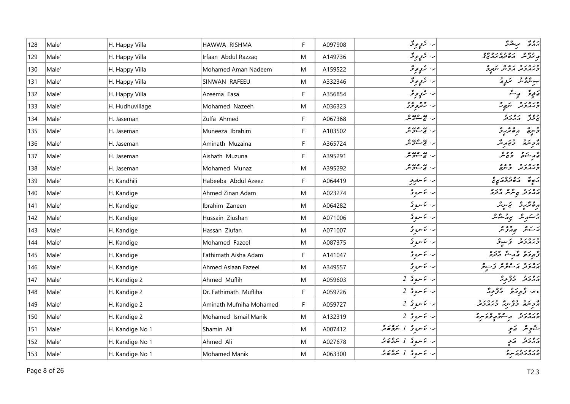| 128 | Male' | H. Happy Villa  | HAWWA RISHMA            | F  | A097908 | ر. ژوروژ                                | بره پو پر شو تح                            |
|-----|-------|-----------------|-------------------------|----|---------|-----------------------------------------|--------------------------------------------|
| 129 | Male' | H. Happy Villa  | Irfaan Abdul Razzaq     | M  | A149736 | ر. ژوپه وگ                              | כנים גם בסגם נים<br>קייגריית השינגיגה ב    |
| 130 | Male' | H. Happy Villa  | Mohamed Aman Nadeem     | M  | A159522 | ر. ژوپه وگ                              | ورەر د روم شېرو                            |
| 131 | Male' | H. Happy Villa  | SINWAN RAFEEU           | M  | A332346 | ر. زېږمونژ                              | جوهرة تحريره                               |
| 132 | Male' | H. Happy Villa  | Azeema Easa             | F  | A356854 | ر. را پارچ                              | أرزونج أواستكم                             |
| 133 | Male' | H. Hudhuvillage | Mohamed Nazeeh          | M  | A036323 | ر. ژوروگر                               | ورەرو ئىر                                  |
| 134 | Male' | H. Jaseman      | Zulfa Ahmed             | F. | A067368 | ر. بي ھەي ھ                             | وه پر در د<br>بحنوتی کمیکر <del>و</del> تر |
| 135 | Male' | H. Jaseman      | Muneeza Ibrahim         | F  | A103502 | ر. بي ھەي ھ                             | 3 سرچ رھ پڙر 3                             |
| 136 | Male' | H. Jaseman      | Aminath Muzaina         | F  | A365724 | ر. به مصره و                            | أأوسكة وتماريش                             |
| 137 | Male' | H. Jaseman      | Aishath Muzuna          | F  | A395291 | ر. بي ھەي ھ                             | و المرکب و در المرکب در استرا              |
| 138 | Male' | H. Jaseman      | Mohamed Munaz           | M  | A395292 | ر. بچ ڪي هي                             | ورەرو ويوە                                 |
| 139 | Male' | H. Kandhili     | Habeeba Abdul Azeez     | F  | A064419 | ر، ئەسىرىر                              | ره ده ده ده در په د                        |
| 140 | Male' | H. Kandige      | Ahmed Zinan Adam        | M  | A023274 | ر، ئەسولۇ                               | ره رو به شره موره<br>پرپروتر بې شرس پرترو  |
| 141 | Male' | H. Kandige      | Ibrahim Zaneen          | M  | A064282 | ر، ئەسرى                                | رەترىر ئىرىر                               |
| 142 | Male' | H. Kandige      | Hussain Ziushan         | M  | A071006 | ر، کامیوی                               | ج سەر سىم ئەستىر                           |
| 143 | Male' | H. Kandige      | Hassan Ziufan           | M  | A071007 | ر، ئەسەبچ                               | يَاسَسْ بِهِ مِنْ تَرْسُ                   |
| 144 | Male' | H. Kandige      | Mohamed Fazeel          | M  | A087375 | ر، ئەسەبۇ                               | ورەرو تەنبىر                               |
| 145 | Male' | H. Kandige      | Fathimath Aisha Adam    | F  | A141047 | ر. ئەسرى                                | و دو شهر شه وره                            |
| 146 | Male' | H. Kandige      | Ahmed Aslaan Fazeel     | M  | A349557 | ر، ئەسمەتچ                              | رەرە برەۋىر ۋىيەۋ                          |
| 147 | Male' | H. Kandige 2    | Ahmed Muflih            | M  | A059603 | ر، ئەسەبى 2                             | أرور ووور                                  |
| 148 | Male' | H. Kandige 2    | Dr. Fathimath Mufliha   | F  | A059726 | $2\frac{2}{3}$ ىر، ئەس ئ                | ، وتموزه دوره                              |
| 149 | Male' | H. Kandige 2    | Aminath Mufniha Mohamed | F  | A059727 | $2\,$ محسوق 2                           | أزويته ووسرته وبرودد                       |
| 150 | Male' | H. Kandige 2    | Mohamed Ismail Manik    | M  | A132319 | $2.5$ سوءَ                              | ورەرو مەگە ئوكتىر                          |
| 151 | Male' | H. Kandige No 1 | Shamin Ali              | M  | A007412 | ر. ئۈسو ئەل ئىردە ئىر                   | لحدَّدٍ شَرْمٍ                             |
| 152 | Male' | H. Kandige No 1 | Ahmed Ali               | M  | A027678 | ر ، ئاسوڭ 1 ئىردەبر                     | رەرد كەي                                   |
| 153 | Male' | H. Kandige No 1 | Mohamed Manik           | M  | A063300 | $\frac{2202}{200}$   $\frac{6}{2}$ we w | כנסנפניה<br><i>בה</i> תכנק <i>ב</i> ית     |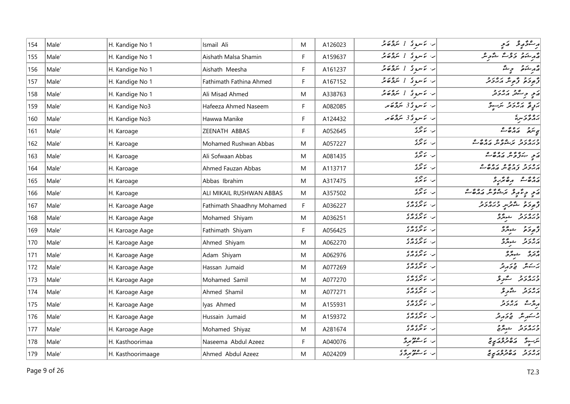| 154 | Male' | H. Kandige No 1   | Ismail Ali                 | M         | A126023 | ر ، سَسِرِ یَ لَ سَرَحْ صَمَرَ                     | أبر سيؤتمو عج أمامي                                   |
|-----|-------|-------------------|----------------------------|-----------|---------|----------------------------------------------------|-------------------------------------------------------|
| 155 | Male' | H. Kandige No 1   | Aishath Malsa Shamin       | F         | A159637 | . ئەس ئەكتەر ئە                                    |                                                       |
| 156 | Male' | H. Kandige No 1   | Aishath Meesha             | F         | A161237 | ر ، مأسوى [ سكرەتمە                                | أأمر المستحق المحيطة                                  |
| 157 | Male' | H. Kandige No 1   | Fathimath Fathina Ahmed    | F         | A167152 | ر، ئۈس ئەڭ كەنجە ئەر                               | توجوجو توجنر مددور                                    |
| 158 | Male' | H. Kandige No 1   | Ali Misad Ahmed            | M         | A338763 | ر ، مأسوى 1 مردە مر                                | ړي ورگړو ره ده.<br>د کلي                              |
| 159 | Male' | H. Kandige No3    | Hafeeza Ahmed Naseem       | F         | A082085 | ر ، ئاسە ئى 3 ئىردە ئىر                            | پروژ درو برخ                                          |
| 160 | Male' | H. Kandige No3    | Hawwa Manike               | F         | A124432 | را كاس كى 35 مىر ئەكەبىر                           | رە پەر<br>بەھ 2 سرىئا                                 |
| 161 | Male' | H. Karoage        | ZEENATH ABBAS              | F         | A052645 | ر . موسى<br>ر . ما موى                             |                                                       |
| 162 | Male' | H. Karoage        | Mohamed Rushwan Abbas      | M         | A057227 | ر به ۵<br>ر با موری                                | وره ر و بر ه و ه و بره و ه<br>وبربروتر برشورش بربره ب |
| 163 | Male' | H. Karoage        | Ali Sofwaan Abbas          | M         | A081435 | $rac{1}{2}$                                        | ړ ده ده ده ده م                                       |
| 164 | Male' | H. Karoage        | Ahmed Fauzan Abbas         | M         | A113717 | ر به ره د<br>ر به مونو                             | ג סג כ ג כ גם גם גם.<br>הגבה צ ה ב יי הה ב יי         |
| 165 | Male' | H. Karoage        | Abbas Ibrahim              | M         | A317475 | ر به ۵ دی<br>ر به ماننوی                           |                                                       |
| 166 | Male' | H. Karoage        | ALI MIKAIL RUSHWAN ABBAS   | M         | A357502 | ر به ره د<br>ر به مونو                             |                                                       |
| 167 | Male' | H. Karoage Aage   | Fathimath Shaadhny Mohamed | F         | A036227 | ر به ره ره د ر<br>ر۰ ما مور د د د                  | و و د و د و د و د و د                                 |
| 168 | Male' | H. Karoage Aage   | Mohamed Shiyam             | M         | A036251 | ر ه ره د و د<br>ر·   ما موی اری                    | ور ہ ر د<br>تر پر پر پر شوا <i>ئر تر</i>              |
| 169 | Male' | H. Karoage Aage   | Fathimath Shiyam           | F         | A056425 | ر ه د ه د و ه<br>ر۰ ما موی در                      | أقرجوحو الشواجر                                       |
| 170 | Male' | H. Karoage Aage   | Ahmed Shiyam               | M         | A062270 | $\begin{array}{c} 28 & 22 \\ -28 & 28 \end{array}$ | پروژو<br>شەدگرى                                       |
| 171 | Male' | H. Karoage Aage   | Adam Shiyam                | M         | A062976 | $\begin{array}{c} 0.4000\\ 0.00000\\ \end{array}$  | وره شهره<br>م <i>درد</i> شهرو                         |
| 172 | Male' | H. Karoage Aage   | Hassan Jumaid              | M         | A077269 | ر ه د ه د و ه<br>ر۰ ما موی در                      | يركسكس فيحمدهم                                        |
| 173 | Male' | H. Karoage Aage   | Mohamed Samil              | M         | A077270 | ر ه د ه د و د<br>ر . ما موی اری                    | ورەرو گەرۋ                                            |
| 174 | Male' | H. Karoage Aage   | Ahmed Shamil               | M         | A077271 | ر به ره ره د ر<br>ر به مونورو د                    | رەر دىگەم                                             |
| 175 | Male' | H. Karoage Aage   | lyas Ahmed                 | M         | A155931 | $\frac{1}{2}$                                      | مرش مەردىر                                            |
| 176 | Male' | H. Karoage Aage   | Hussain Jumaid             | ${\sf M}$ | A159372 | ر ه د ه د و ه<br>ر ۰ ما موی دری                    | جستهر شد مع قرمر مر                                   |
| 177 | Male' | H. Karoage Aage   | Mohamed Shiyaz             | M         | A281674 | ر ه د ه د و ه<br>ر۰ ما موی در                      | ور ٥ ر ۶<br>تربر پر پر شواریخ                         |
| 178 | Male' | H. Kasthoorimaa   | Naseema Abdul Azeez        | F         | A040076 | ر. ئەسىۋىرۇ                                        | ر ه و و د<br>پرې تر پر تن<br>ىئەسىرى                  |
| 179 | Male' | H. Kasthoorimaage | Ahmed Abdul Azeez          | ${\sf M}$ | A024209 |                                                    | גפגב גפבסגם<br>הגבע השע <i>יכה צ</i>                  |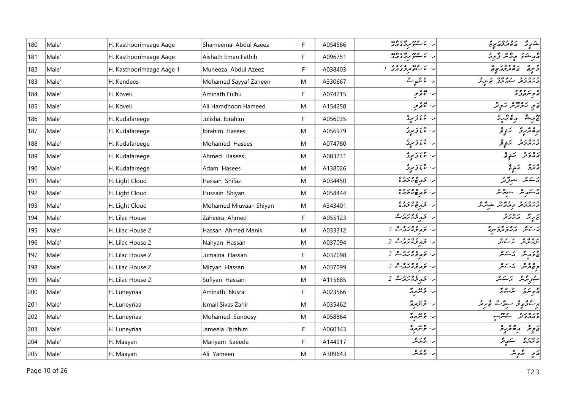| 180 | Male' | H. Kasthoorimaage Aage   | Shameema Abdul Azeez   | F. | A054586 | ر به حدود به دی.<br>ر به سوه مرو د د د | رە دورى پە<br>شَرْ رِ رُ                                                                            |
|-----|-------|--------------------------|------------------------|----|---------|----------------------------------------|-----------------------------------------------------------------------------------------------------|
| 181 | Male' | H. Kasthoorimaage Aage   | Aishath Eman Fathih    | F  | A096751 |                                        | وأرجنتم وترس وتور                                                                                   |
| 182 | Male' | H. Kasthoorimaage Aage 1 | Muneeza Abdul Azeez    | F  | A038403 | ر. رود ورود و                          | د مربع مەھەر <i>جەن</i> ئ                                                                           |
| 183 | Male' | H. Kendees               | Mohamed Sayyaf Zaneen  | Μ  | A330667 | ر، ئۇنل <sub>ۇ</sub> پ                 | ورەرو رومە رەمىر                                                                                    |
| 184 | Male' | H. Koveli                | Aminath Fulhu          | F  | A074215 | ر، تذه د                               | ۇ ئەستەۋرى                                                                                          |
| 185 | Male' | H. Koveli                | Ali Hamdhoon Hameed    | Μ  | A154258 | ر، عقوم                                | ړي پروترس ټرو تر                                                                                    |
| 186 | Male' | H. Kudafareege           | Julisha Ibrahim        | F  | A056035 | ر، عږي توري                            | تقريشه رەتمرىۋ                                                                                      |
| 187 | Male' | H. Kudafareege           | Ibrahim Hasees         | M  | A056979 | ر، عږي توري                            | ە ئەسىر ئىسى ئىش                                                                                    |
| 188 | Male' | H. Kudafareege           | Mohamed Hasees         | M  | A074780 | ر، عږي کوري                            | ورەر د برخ م                                                                                        |
| 189 | Male' | H. Kudafareege           | Ahmed Hasees           | M  | A083731 | ر، عږي کويږي                           | رەرد كەنچ                                                                                           |
| 190 | Male' | H. Kudafareege           | Adam Hasees            | Μ  | A138026 | ر . رور .<br>ر . س ء تو مور            | د ده<br>  د ترو د سمنو ه                                                                            |
| 191 | Male' | H. Light Cloud           | Hassan Shifaz          | M  | A034450 |                                        | ىز سەش ھەركىتى                                                                                      |
| 192 | Male' | H. Light Cloud           | Hussain Shiyan         | M  | A058444 | $\frac{1}{2}$                          | برسكرمر عورشر                                                                                       |
| 193 | Male' | H. Light Cloud           | Mohamed Miuvaan Shiyan | M  | A343401 |                                        | ورەرو دولۇش جەدگىر                                                                                  |
| 194 | Male' | H. Lilac House           | Zaheera Ahmed          | F  | A055123 | ر ئەربۇر ئەرم                          | پرېد پره د د                                                                                        |
| 195 | Male' | H. Lilac House 2         | Hassan Ahmed Manik     | M  | A033312 | ر. ئەر ئەر ئەر 2                       | ג גם גם גבעת                                                                                        |
| 196 | Male' | H. Lilac House 2         | Nahyan Hassan          | M  | A037094 | ر. ئەر ئەر ئەر 2                       | ىرەپ ئەسكىر                                                                                         |
| 197 | Male' | H. Lilac House 2         | Jumaina Hassan         | F  | A037098 | ر. ئەربۇرىدىك 2                        | فأذكر للمسكر المركبا والمراجي                                                                       |
| 198 | Male' | H. Lilac House 2         | Mizyan Hassan          | M  | A037099 | ر. ئەر ئەر ئەر 2                       | جەھەر ئەسكەر                                                                                        |
| 199 | Male' | H. Lilac House 2         | Sufiyan Hassan         | M  | A115685 | ر. ئەربۇرىدىق 2                        | شوپر پرسکس                                                                                          |
| 200 | Male' | H. Luneyriaa             | Aminath Nusra          | F  | A023566 | ر. ژیمبردگر                            | ومحر مرد و المحمد المستوفير                                                                         |
| 201 | Male' | H. Luneyriaa             | Ismail Sivas Zahir     | M  | A035462 | ر. وتتربردٌ                            | ر ھۇر ئەر ئەر ئەر                                                                                   |
| 202 | Male' | H. Luneyriaa             | Mohamed Sunoosy        | M  | A058864 | ر. وتربرد                              | כנסגב - כבב<br>כגונפט - היית                                                                        |
| 203 | Male' | H. Luneyriaa             | Jameela Ibrahim        | F. | A060143 | ر. وَ عَرَمَهُ                         | في في في من الله عن الله عن الله عن الله عن الله عن الله عن الله عن الله عن الله عن الله عن الله عن |
| 204 | Male' | H. Maayan                | Mariyam Saeeda         | F. | A144917 | ر. ئۇترىتر                             | ر ه ر ه<br><del>ر</del> بربرو<br>سەرپەتىر                                                           |
| 205 | Male' | H. Maayan                | Ali Yameen             | Μ  | A309643 | ر. ئەترىش                              | أەكىم ئىگە ئىگە                                                                                     |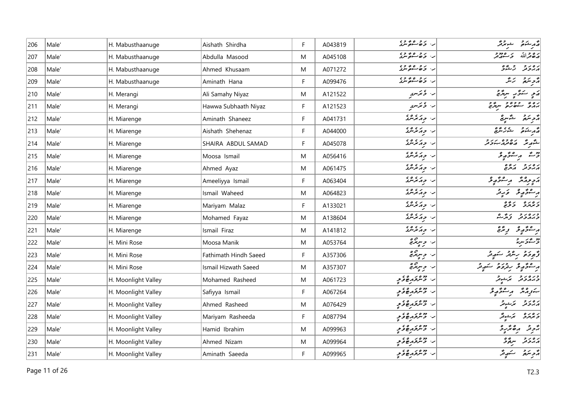| 206 | Male' | H. Mabusthaanuge    | Aishath Shirdha       | F         | A043819 | ر. زەھ سەھ تىرى      | أقهر مشكاة المستوجد                              |
|-----|-------|---------------------|-----------------------|-----------|---------|----------------------|--------------------------------------------------|
| 207 | Male' | H. Mabusthaanuge    | Abdulla Masood        | M         | A045108 | ر. پره شوه وي        | برە داللە ئەمەد                                  |
| 208 | Male' | H. Mabusthaanuge    | Ahmed Khusaam         | M         | A071272 | ر. زەھسۇم تەر        | رەرە جىشۇ                                        |
| 209 | Male' | H. Mabusthaanuge    | Aminath Hana          | F         | A099476 | ر. زەپەرە دە         | أأروسهم كتر                                      |
| 210 | Male' | H. Merangi          | Ali Samahy Niyaz      | M         | A121522 | ر، كابرسمبر          | ړې خونه سره پر                                   |
| 211 | Male' | H. Merangi          | Hawwa Subhaath Niyaz  | F         | A121523 | ر، كەبۇسىي           | נים בכבר בר                                      |
| 212 | Male' | H. Miarenge         | Aminath Shaneez       | F         | A041731 | ر. دېمپرس            | أثاجر سكو التفسيقي                               |
| 213 | Male' | H. Miarenge         | Aishath Shehenaz      | F         | A044000 | ر. جەنئەتلىكى        | مەر ئىستوم ھىركىتى                               |
| 214 | Male' | H. Miarenge         | SHAIRA ABDUL SAMAD    | F         | A045078 | ر . وړکرسری          | شگهر مگرده در در د                               |
| 215 | Male' | H. Miarenge         | Moosa Ismail          | ${\sf M}$ | A056416 | ر وړنرمره            | اروم پر موٹر پولو                                |
| 216 | Male' | H. Miarenge         | Ahmed Ayaz            | M         | A061475 | ر. جەنئەشمە          | גפגב גובם                                        |
| 217 | Male' | H. Miarenge         | Ameeliyya Ismail      | F         | A063404 | ر. پروگرمرند         | أأو وورثر<br>ەرسىۋەپەيج                          |
| 218 | Male' | H. Miarenge         | Ismail Waheed         | M         | A064823 | ر . وړندس            | پرسشو تهرید تر تر تر                             |
| 219 | Male' | H. Miarenge         | Mariyam Malaz         | F         | A133021 | ر په چرمگروي         | رەرە روە                                         |
| 220 | Male' | H. Miarenge         | Mohamed Fayaz         | ${\sf M}$ | A138604 | ر و پرېورې           | ورەر دېگرے                                       |
| 221 | Male' | H. Miarenge         | Ismail Firaz          | ${\sf M}$ | A141812 | ر په در کاره کا      | برڪنۇپە ئوندى                                    |
| 222 | Male' | H. Mini Rose        | Moosa Manik           | M         | A053764 | ر. وسرچرچ            | دو مړينه په د                                    |
| 223 | Male' | H. Mini Rose        | Fathimath Hindh Saeed | F         | A357306 | ر. و سرچرچ           | وتجوخا والمرمز المستورثر                         |
| 224 | Male' | H. Mini Rose        | Ismail Hizwath Saeed  | M         | A357307 | ار، وسرچينج          | وراءة ويؤرده والمتويتر                           |
| 225 | Male' | H. Moonlight Valley | Mohamed Rasheed       | M         | A061723 | ر. د هر د ه ه ه د په | ورەرو كەنبەتر                                    |
| 226 | Male' | H. Moonlight Valley | Safiyya Ismail        | F         | A067264 | ر. د هر د ه ه ه د په | ښو مه شوه پو                                     |
| 227 | Male' | H. Moonlight Valley | Ahmed Rasheed         | M         | A076429 | ر . چې پېړه وي په    | رەرو كەشەر                                       |
| 228 | Male' | H. Moonlight Valley | Mariyam Rasheeda      | F         | A087794 | ر . ژنتر پر ۱۳۵۹ په  | ر ه ر ه<br><del>ر</del> بربرگ<br>ىمەر شەدىگر     |
| 229 | Male' | H. Moonlight Valley | Hamid Ibrahim         | ${\sf M}$ | A099963 | ر. د هر د ه ه ه د په | بحرقه مرەبجرىرى                                  |
| 230 | Male' | H. Moonlight Valley | Ahmed Nizam           | M         | A099964 | ر. ژېرىزم قۇم        | بر 2 د ج<br>م <i>ر</i> بر <del>د</del> تر<br>سۇر |
| 231 | Male' | H. Moonlight Valley | Aminath Saeeda        | F         | A099965 | ر. ژىئرى مۇم         | أترجر سكر سكريته                                 |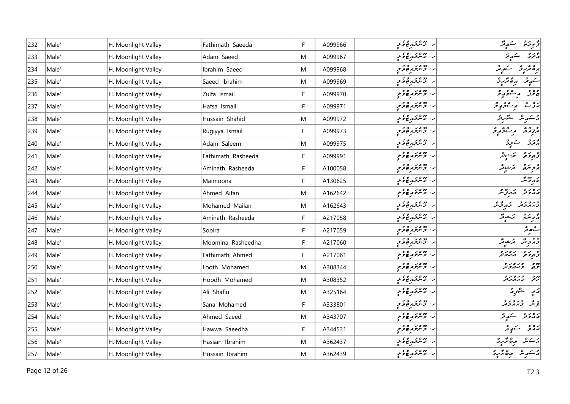| 232 | Male' | H. Moonlight Valley | Fathimath Saeeda   | F         | A099966 | ر وجمعه وه و و په                                            | قُرُوحَةَ سَنَ يَدْ                                                |
|-----|-------|---------------------|--------------------|-----------|---------|--------------------------------------------------------------|--------------------------------------------------------------------|
| 233 | Male' | H. Moonlight Valley | Adam Saeed         | M         | A099967 | ر. د هر ده وه و                                              | پور ہ<br>پر تعری<br>سکھرتر                                         |
| 234 | Male' | H. Moonlight Valley | Ibrahim Saeed      | ${\sf M}$ | A099968 | ر. وجمع کرم کا محمد کرد کرد.<br>مستقر کا محمد استقرار میکنیم | ە ھەترىرى<br>برھ ترىرى<br>سە پەتىر                                 |
| 235 | Male' | H. Moonlight Valley | Saeed Ibrahim      | M         | A099969 | ر. د هر د ه ه ه د په                                         | سە پەتىر<br>ئى<br>مەھترىرى                                         |
| 236 | Male' | H. Moonlight Valley | Zulfa Ismail       | F         | A099970 | ر. وجمع مرضي و محمد به                                       | ج و د گر<br>برڪۇپەيۋ                                               |
| 237 | Male' | H. Moonlight Valley | Hafsa Ismail       | F         | A099971 | ر. د هر د ه ه ه د په                                         | ەرسىۋەپەي<br>برو پە                                                |
| 238 | Male' | H. Moonlight Valley | Hussain Shahid     | M         | A099972 | ر. چ <sup>و</sup> شرىخ <sub>م</sub> ەھ كېچ                   | چرىسىم ھەرىر                                                       |
| 239 | Male' | H. Moonlight Valley | Rugiyya Ismail     | F         | A099973 | ر. ژنتر پروه و د                                             | و وه په موګړو                                                      |
| 240 | Male' | H. Moonlight Valley | Adam Saleem        | M         | A099975 | ر. ژنتر پروه و د                                             | په ره<br>د ترو<br>سەَموژ                                           |
| 241 | Male' | H. Moonlight Valley | Fathimath Rasheeda | F         | A099991 | ر. وجمع مرضي و محمد به                                       | و په پر د<br>ىمەسىيەتىر                                            |
| 242 | Male' | H. Moonlight Valley | Aminath Rasheeda   | F         | A100058 | ر. د هر ده وه و                                              | أأترسم<br>ىخرىشەقگر                                                |
| 243 | Male' | H. Moonlight Valley | Maimoona           | F         | A130625 | ر. د هر د ه ه ه د په                                         | ىر دەمگە<br>مەرىبە                                                 |
| 244 | Male' | H. Moonlight Valley | Ahmed Aifan        | M         | A162642 | ر. د مرغر موسط و د                                           | גפניק ה'תנ"ע                                                       |
| 245 | Male' | H. Moonlight Valley | Mohamed Mailan     | M         | A162643 | ر. چ <sup>و</sup> شرىخ <sub>م</sub> ەھ كېچ                   | ورەرو كەرگە                                                        |
| 246 | Male' | H. Moonlight Valley | Aminath Rasheeda   | F         | A217058 | ر. ژېرۇرغۇر                                                  | أأرجر سكرة التكريث وتكر                                            |
| 247 | Male' | H. Moonlight Valley | Sobira             | F         | A217059 | ر . ژنتر ژنه ۱۵۵۴<br>ر                                       | بڈھ پڑ                                                             |
| 248 | Male' | H. Moonlight Valley | Moomina Rasheedha  | F         | A217060 | ر. د هر د ه ه ه د په                                         | وحماد المتحافظة المحمد                                             |
| 249 | Male' | H. Moonlight Valley | Fathimath Ahmed    | F         | A217061 | ر. چ <sup>ه</sup> رگرم قوم                                   | ۇ ب <sub>و</sub> ر بو<br>بر 2 د و<br>م <i>ر</i> بر <del>و</del> تر |
| 250 | Male' | H. Moonlight Valley | Looth Mohamed      | M         | A308344 | ر. د هر د ه ه ه د په                                         | מכ כנסנכ<br><del>ל</del> ף כ <i>ו</i> וכנג                         |
| 251 | Male' | H. Moonlight Valley | Hoodh Mohamed      | M         | A308352 | ر. چ <sup>ه</sup> رگرم قوم                                   | מכ כנסנכ<br>ניט <sub>ר</sub> כנמכט                                 |
| 252 | Male' | H. Moonlight Valley | Ali Shafiu         | M         | A325164 | ر. دور ده و و د                                              | ړې شوږ                                                             |
| 253 | Male' | H. Moonlight Valley | Sana Mohamed       | F         | A333801 | ر. چ <sup>ه</sup> رگرم قوم                                   | ة مده دره در                                                       |
| 254 | Male' | H. Moonlight Valley | Ahmed Saeed        | M         | A343707 | ر. چەرىخ مۇمۇم                                               | رەرو سەرىر                                                         |
| 255 | Male' | H. Moonlight Valley | Hawwa Saeedha      | F         | A344531 | ر. د هر د ه ه ه د په                                         | ر ه و<br>پروتو<br>سە پەتر                                          |
| 256 | Male' | H. Moonlight Valley | Hassan Ibrahim     | M         | A362437 | ر. وجمع مرضي و محمد به                                       | ەر ھەترىر 3<br>ر<br>برسەيىتە                                       |
| 257 | Male' | H. Moonlight Valley | Hussain Ibrahim    | ${\sf M}$ | A362439 | ر. ومرغر مور                                                 | بر سکه شهر می می شود.                                              |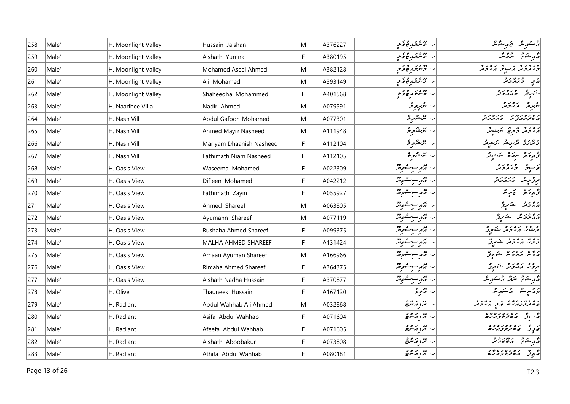| 258 | Male' | H. Moonlight Valley | Hussain Jaishan          | M           | A376227 | ر . ژنترنز موقوعه                                                                                                                      | برسكريش كالرحقش                                                |
|-----|-------|---------------------|--------------------------|-------------|---------|----------------------------------------------------------------------------------------------------------------------------------------|----------------------------------------------------------------|
| 259 | Male' | H. Moonlight Valley | Aishath Yumna            | F           | A380195 | ر. د هر ده و ه د په                                                                                                                    | مەر شەھ بىرى ش                                                 |
| 260 | Male' | H. Moonlight Valley | Mohamed Aseel Ahmed      | M           | A382128 | ر. ژېږ ده وه د                                                                                                                         | כנסגב ג <sub>וד</sub> יפ גם גם<br>כ <i>ג</i> וגבע ג'ידיפ ג'יבע |
| 261 | Male' | H. Moonlight Valley | Ali Mohamed              | M           | A393149 | ر. وفير كروه كالمحرمة                                                                                                                  | أورم وره رد                                                    |
| 262 | Male' | H. Moonlight Valley | Shaheedha Mohammed       | $\mathsf F$ | A401568 | ر. د هر د ه ه ه د په                                                                                                                   | و ره ر و<br>تر <i>پر</i> وتر<br>ے کمبر مگر<br>ح                |
| 263 | Male' | H. Naadhee Villa    | Nadir Ahmed              | M           | A079591 | ر. سگېږونگه                                                                                                                            | شرور مدرو                                                      |
| 264 | Male' | H. Nash Vill        | Abdul Gafoor Mohamed     | M           | A077301 | ر. ئىزىشورگر                                                                                                                           | נספס נמד - דנסנב<br>השנת <i>הג'ת - ב</i> גהבת                  |
| 265 | Male' | H. Nash Vill        | Ahmed Mayiz Nasheed      | M           | A111948 | ر. ئىرىشورۇ                                                                                                                            | גְפְלָב קוויש וליינו                                           |
| 266 | Male' | H. Nash Vill        | Mariyam Dhaanish Nasheed | F           | A112104 | ر. ئىزىشوۋ                                                                                                                             | ويرتزو تزمرك لتركونر                                           |
| 267 | Male' | H. Nash Vill        | Fathimath Niam Nasheed   | F.          | A112105 | ر. ئىزىش <sub>مو</sub> ئى                                                                                                              | تؤودة سمكا سكور                                                |
| 268 | Male' | H. Oasis View       | Waseema Mohamed          | F           | A022309 | ر، مہر سوسوچ<br>ر، مہر سوسوچ                                                                                                           | و ره ر و<br><i>د ب</i> رگرفر<br>ە سەيەۋ                        |
| 269 | Male' | H. Oasis View       | Difleen Mohamed          | F           | A042212 | ر، مہر سوسومبر<br>ر، مہر سوسومبر                                                                                                       | و ره ر و<br><i>و پر</i> و تر<br><mark>ىرۇ يەش</mark> ر         |
| 270 | Male' | H. Oasis View       | Fathimath Zayin          | F           | A055927 | ر. مەمرىسو شەھ دىر<br>مەمرىس س                                                                                                         | توجوخو تمريثر                                                  |
| 271 | Male' | H. Oasis View       | Ahmed Shareef            | M           | A063805 | ر. مەرسىس دەر<br>سىسىمىسى                                                                                                              | رەر ئىرۇ                                                       |
| 272 | Male' | H. Oasis View       | Ayumann Shareef          | M           | A077119 | ر، می به سور شورد.<br>مسلم بر                                                                                                          | גם כגם ביתור<br>ההתכית ביתור                                   |
| 273 | Male' | H. Oasis View       | Rushaha Ahmed Shareef    | F           | A099375 | הי הה הייתו היה מידע<br>היה היה היה היה מידע היה היה בין היה היה בין היה היה בין היה היה בין היה בין היה בין היה בין היה בין היה בין ב |                                                                |
| 274 | Male' | H. Oasis View       | MALHA AHMED SHAREEF      | F           | A131424 | ر، مجمد سوستوره<br>ر                                                                                                                   | دور رورد خهرو                                                  |
| 275 | Male' | H. Oasis View       | Amaan Ayuman Shareef     | M           | A166966 | ر، می در سوے والز                                                                                                                      | ر و در در ه شهرو                                               |
| 276 | Male' | H. Oasis View       | Rimaha Ahmed Shareef     | F           | A364375 | ر، حمد سوسومبر<br>ر، حمد سوسومبر                                                                                                       | بروته ړورو ځیږ                                                 |
| 277 | Male' | H. Oasis View       | Aishath Nadha Hussain    | F           | A370877 | ر، مہر سوشور                                                                                                                           | گەرشكى ئىرقى برگىسىرلىش                                        |
| 278 | Male' | H. Olive            | Thaunees Hussain         | F           | A167120 | ر، حرموه                                                                                                                               | ەرسىر ئەسىر                                                    |
| 279 | Male' | H. Radiant          | Abdul Wahhab Ali Ahmed   | M           | A032868 | ر، عجمع وكمنفرهج                                                                                                                       | גם כם גם 20 ג'ב ג'בער                                          |
| 280 | Male' | H. Radiant          | Asifa Abdul Wahhab       | F.          | A071604 | ر. ئىز بر ئىر ق                                                                                                                        | ر ٥ و ٥ ر ٥ <i>٤</i> ٥<br>پر <i>۲ تر پر بر ۶</i><br>ە ئەسىرىتى |
| 281 | Male' | H. Radiant          | Afeefa Abdul Wahhab      | $\mathsf F$ | A071605 | ر. ئۇ بەر ھ                                                                                                                            | ر ٥ ۶ ٥ ٥ ٥ ٥ ٥<br>پر <i>۵ تر ۶ ۹ ۶ ر</i> ۵<br>ەزىۋ            |
| 282 | Male' | H. Radiant          | Aishath Aboobakur        | F           | A073808 | ر. ئىز بەر مەھ                                                                                                                         | 77/77/<br>ر<br>پر کر ڪوي                                       |
| 283 | Male' | H. Radiant          | Athifa Abdul Wahhab      | F           | A080181 | ر، عجز مرکزهی                                                                                                                          | ر ه و ه ر ه د و<br>پره تر <del>ژ</del> و بر ر<br>رژوڙ          |
|     |       |                     |                          |             |         |                                                                                                                                        |                                                                |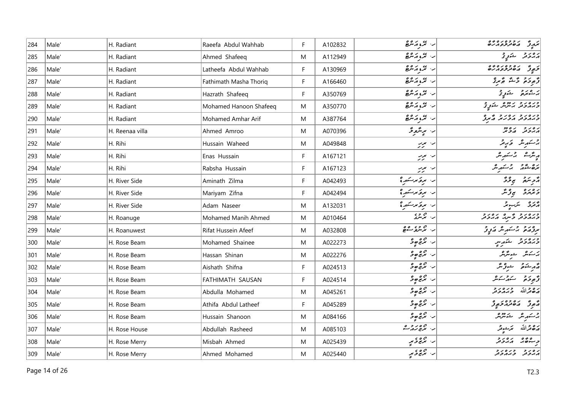| 284 | Male' | H. Radiant      | Raeefa Abdul Wahhab        | F           | A102832 | ر، ئۇ بۇ ئەشھ         | أتمرق ماه وه و ده ده                                                 |
|-----|-------|-----------------|----------------------------|-------------|---------|-----------------------|----------------------------------------------------------------------|
| 285 | Male' | H. Radiant      | Ahmed Shafeeq              | M           | A112949 | ر. ئۇ بەكتىر ھ        | دەر د ھەرچ                                                           |
| 286 | Male' | H. Radiant      | Latheefa Abdul Wahhab      | F           | A130969 | ر. ئۇ بەر ئىرق        | ر ه د ه ر ه د ه<br>پره تر تر و بر ر<br>  تۇبۇ تۇ                     |
| 287 | Male' | H. Radiant      | Fathimath Masha Thoriq     | F.          | A166460 | ر. ئۇ بەكتىر ھ        | ژوده ژَیْ وُیرو                                                      |
| 288 | Male' | H. Radiant      | Hazrath Shafeeq            | F           | A350769 | ر. ئۇ بەكتىر ھ        | ر قرم در سکور تحرید کرد.<br>مراجع مرکز میگرام میکرد کرد که در ایرانی |
| 289 | Male' | H. Radiant      | Mohamed Hanoon Shafeeq     | M           | A350770 | ر. مجمع وكرهي         | ورەرو رەمۇر جۇي                                                      |
| 290 | Male' | H. Radiant      | Mohamed Amhar Arif         | M           | A387764 | ر. ئىز بر ئىر قى      | כגם ג' ג'סג' ב' תיצ                                                  |
| 291 | Male' | H. Reenaa villa | Ahmed Amroo                | M           | A070396 | ر. بریٹروگر           | גם גם ג'סמי                                                          |
| 292 | Male' | H. Rihi         | Hussain Waheed             | M           | A049848 | ر، سماسی<br>مرکز      | 2سكىرىش ئۇيرىتى                                                      |
| 293 | Male' | H. Rihi         | Enas Hussain               | $\mathsf F$ | A167121 | رس موتر<br>مرکز       | أيرىئرك بركستهريش                                                    |
| 294 | Male' | H. Rihi         | Rabsha Hussain             | F           | A167123 | ر، سماسی<br>مرکز      | برە شقىر برگىتى بىر                                                  |
| 295 | Male' | H. River Side   | Aminath Zilma              | F           | A042493 | ر بره برخه ؟          | أزمر يترة بالحرقر                                                    |
| 296 | Male' | H. River Side   | Mariyam Zifna              | F           | A042494 | ر سموتھ مرڪور ؟       | دەرە بېرىگە                                                          |
| 297 | Male' | H. River Side   | Adam Naseer                | M           | A132031 | را برە برىكىر؟        | أرترو الكرسونر                                                       |
| 298 | Male' | H. Roanuge      | Mohamed Manih Ahmed        | M           | A010464 | ر، موسوءِ<br>په موسوي | ورەرو په دەرو                                                        |
| 299 | Male' | H. Roanuwest    | <b>Rifat Hussein Afeef</b> | M           | A032808 | ر. چەرە ھەھ           | بروګړ د جنه شه کړو                                                   |
| 300 | Male' | H. Rose Beam    | Mohamed Shainee            | M           | A022273 | ر. ئرچ ھو 3           | ورەرو خەرس<br><i>دى</i> رمەدىر                                       |
| 301 | Male' | H. Rose Beam    | Hassan Shinan              | M           | A022276 | $500 - 7$             | ىركىش ئىرتىرىش                                                       |
| 302 | Male' | H. Rose Beam    | Aishath Shifna             | F           | A024513 | $rac{1}{2}$           | أقهر مشكرة كالمستوفيتر                                               |
| 303 | Male' | H. Rose Beam    | FATHIMATH SAUSAN           | F           | A024514 | $rac{1}{2}$           | سەر ئەسە<br>وٌ جو حَرْ ح                                             |
| 304 | Male' | H. Rose Beam    | Abdulla Mohamed            | M           | A045261 | ر. مرج ھ ج            | رە داللە دىرە دو                                                     |
| 305 | Male' | H. Rose Beam    | Athifa Abdul Latheef       | F           | A045289 | $rac{1}{2}$           | أشور معدم ومو                                                        |
| 306 | Male' | H. Rose Beam    | Hussain Shanoon            | M           | A084166 | $rac{1}{2}$           | چرے پر شخصی کے مذہبوں کر ا                                           |
| 307 | Male' | H. Rose House   | Abdullah Rasheed           | M           | A085103 | ر، موج پرو ه          | رەقراللە كمەئبەتر                                                    |
| 308 | Male' | H. Rose Merry   | Misbah Ahmed               | M           | A025439 | ر جوء ۽ پر            | وسنضر<br>پرورو                                                       |
| 309 | Male' | H. Rose Merry   | Ahmed Mohamed              | M           | A025440 | ر جوء ۽ پر            | ג סג כ בג סג כ<br>גגב <i>עג בג</i> גבע                               |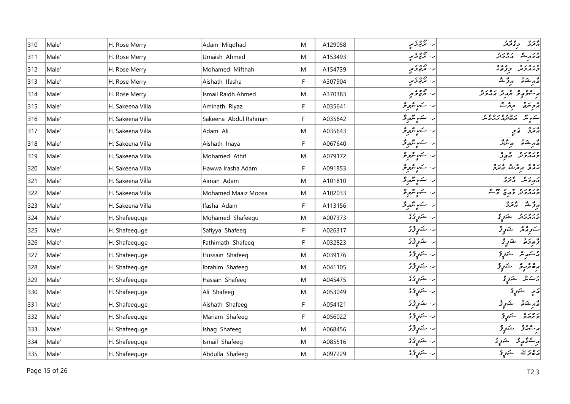| 310 | Male' | H. Rose Merry    | Adam Miqdhad         | M         | A129058 | ر، گوڻ ئاسي                             | پر ده ده و در د                      |
|-----|-------|------------------|----------------------|-----------|---------|-----------------------------------------|--------------------------------------|
| 311 | Male' | H. Rose Merry    | Umaish Ahmed         | M         | A153493 | ر، گروغ مړ                              | وكرمث ورود                           |
| 312 | Male' | H. Rose Merry    | Mohamed Mifthah      | ${\sf M}$ | A154739 | 555.                                    | ورەرو دوم                            |
| 313 | Male' | H. Rose Merry    | Aishath Ifasha       | F         | A307904 | ر. چوځ په                               | أقدم شكاهم وترشكه                    |
| 314 | Male' | H. Rose Merry    | Ismail Raidh Ahmed   | M         | A370383 | ر، مرج و بر<br>ر، مرج و بر              | ת בכתב ימדי הברב                     |
| 315 | Male' | H. Sakeena Villa | Aminath Riyaz        | F         | A035641 | ر، سەيدىنىمۇقە                          | הכיתו תואים                          |
| 316 | Male' | H. Sakeena Villa | Sakeena Abdul Rahman | F         | A035642 | ر. سەر ئىگەنج                           | COLOROS CON CA                       |
| 317 | Male' | H. Sakeena Villa | Adam Ali             | ${\sf M}$ | A035643 | ر. سەر ئىرىدۇ                           | أرمزد أياسي                          |
| 318 | Male' | H. Sakeena Villa | Aishath Inaya        | F         | A067640 | ر. سەر ئىگروگە                          | ومرشوم وشر                           |
| 319 | Male' | H. Sakeena Villa | Mohamed Athif        | M         | A079172 | ر. سەرپەتلىرىگە                         | ورور و و و                           |
| 320 | Male' | H. Sakeena Villa | Hawwa Irasha Adam    | F         | A091853 | سەر مىتروڭر                             | رەپ رېمىش بردە                       |
| 321 | Male' | H. Sakeena Villa | Aiman Adam           | M         | A101810 | ر، سكي <sub>م</sub> مت <sub>ك</sub> وتخ | أتهرئه المترد                        |
| 322 | Male' | H. Sakeena Villa | Mohamed Maaiz Moosa  | M         | A102033 | ر، سەر ئىگرونژ                          | כנסג כ"ק ב"ב "ב"                     |
| 323 | Male' | H. Sakeena Villa | Ifasha Adam          | F         | A113156 | ر. سەر ئىگەنج                           | أمروَّ شَدَّ أَمَرُ مِنْ             |
| 324 | Male' | H. Shafeequge    | Mohamed Shafeegu     | ${\sf M}$ | A007373 | ر، ڪورچي                                | ورەر دېم شرې                         |
| 325 | Male' | H. Shafeequge    | Safiyya Shafeeq      | F         | A026317 | ر، ڪورِ پي                              | ښوږمگر ځوړتی                         |
| 326 | Male' | H. Shafeequge    | Fathimath Shafeeq    | F         | A032823 | ر. ڪورچ و                               | توجوخو شريده                         |
| 327 | Male' | H. Shafeequge    | Hussain Shafeeq      | M         | A039176 | ر. ڪورچ و                               | چرىكى ھەرپى                          |
| 328 | Male' | H. Shafeequge    | Ibrahim Shafeeq      | M         | A041105 | ر. ڪوڻيءَ                               | رەپرىر شرې                           |
| 329 | Male' | H. Shafeequge    | Hassan Shafeeq       | M         | A045475 | ر. ڪوڻيءَ                               | ر<br>رايز سند سندر په ک              |
| 330 | Male' | H. Shafeequge    | Ali Shafeeg          | ${\sf M}$ | A053049 | ر، ڪورچءَ                               | أَمَرِ جَنَ اللَّهِ فَيَ             |
| 331 | Male' | H. Shafeequge    | Aishath Shafeeg      | F         | A054121 | ر. ڪوڻيءَ                               | أمار مشاهر المسكورة                  |
| 332 | Male' | H. Shafeequge    | Mariam Shafeeg       | F         | A056022 | ر. ڪوڻيءَ                               | رەرە ھەرپى                           |
| 333 | Male' | H. Shafeequge    | Ishag Shafeeg        | ${\sf M}$ | A068456 | ر، ڪورچ و                               | پرسشتر تحقیقی شخصی تح                |
| 334 | Male' | H. Shafeequge    | Ismail Shafeeg       | M         | A085516 | ر. ڪروچءَ                               | ر عروم پر دارد.<br>ابر عروم پر مشرور |
| 335 | Male' | H. Shafeequge    | Abdulla Shafeeg      | ${\sf M}$ | A097229 | ر. ڪوڻيءَ                               | رەت <sub>م</sub> اللە خىرىتى         |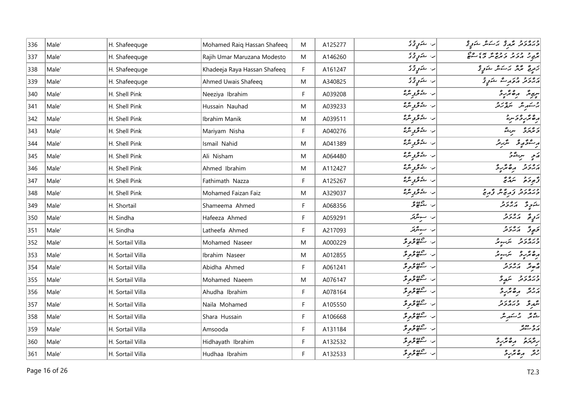| 336 | Male' | H. Shafeequge    | Mohamed Raiq Hassan Shafeeq  | M  | A125277 | ر. ڪوپري                                                                                                                                                                                                                                                                                                                                                                                                                   | ورەرو بۇرۇ بۇسكى خۇرگە                                    |
|-----|-------|------------------|------------------------------|----|---------|----------------------------------------------------------------------------------------------------------------------------------------------------------------------------------------------------------------------------------------------------------------------------------------------------------------------------------------------------------------------------------------------------------------------------|-----------------------------------------------------------|
| 337 | Male' | H. Shafeequge    | Rajih Umar Maruzana Modesto  | M  | A146260 | $\left  \begin{array}{ccc} \sqrt{2} & \sqrt{2} & \sqrt{2} & \sqrt{2} & \sqrt{2} & \sqrt{2} & \sqrt{2} & \sqrt{2} & \sqrt{2} & \sqrt{2} & \sqrt{2} & \sqrt{2} & \sqrt{2} & \sqrt{2} & \sqrt{2} & \sqrt{2} & \sqrt{2} & \sqrt{2} & \sqrt{2} & \sqrt{2} & \sqrt{2} & \sqrt{2} & \sqrt{2} & \sqrt{2} & \sqrt{2} & \sqrt{2} & \sqrt{2} & \sqrt{2} & \sqrt{2} & \sqrt{2} & \sqrt{2} & \sqrt{2} & \sqrt{2} & \sqrt{2} & \sqrt{2}$ | ים כנכי הכנים ה<br>תובה הכת כתבית כניים                   |
| 338 | Male' | H. Shafeequge    | Khadeeja Raya Hassan Shafeeq | F  | A161247 | $\left  \begin{array}{cc} \sqrt{2} & \sqrt{2} & \sqrt{2} \ & \sqrt{2} & \sqrt{2} \ \sqrt{2} & \sqrt{2} & \sqrt{2} \ \sqrt{2} & \sqrt{2} & \sqrt{2} \ \sqrt{2} & \sqrt{2} & \sqrt{2} \ \sqrt{2} & \sqrt{2} & \sqrt{2} \ \sqrt{2} & \sqrt{2} & \sqrt{2} \ \sqrt{2} & \sqrt{2} & \sqrt{2} \ \sqrt{2} & \sqrt{2} & \sqrt{2} \ \sqrt{2} & \sqrt{2} & \sqrt{2} \ \sqrt{2} & \sqrt{2} & \sqrt{2} \ \sqrt{2} & \sqrt{2} & \sqrt{2$ | زَيْرِيَّ الْمُرَّدُ بْرَسَاسٌ جَارٍ وَ                   |
| 339 | Male' | H. Shafeequge    | Ahmed Uwais Shafeeq          | M  | A340825 | ر. ڪوپوڻو                                                                                                                                                                                                                                                                                                                                                                                                                  | ړه د د ډېر د شړی                                          |
| 340 | Male' | H. Shell Pink    | Neeziya Ibrahim              | F  | A039208 | ر. ڪوپريري                                                                                                                                                                                                                                                                                                                                                                                                                 | سربر مه مشرد                                              |
| 341 | Male' | H. Shell Pink    | Hussain Nauhad               | M  | A039233 | ر. ئىگروپرىر                                                                                                                                                                                                                                                                                                                                                                                                               | ا چرک میں مقابل ہونے ہے۔<br>ایر سکور میں متعدد متعدد اللہ |
| 342 | Male' | H. Shell Pink    | Ibrahim Manik                | M  | A039511 | ر. ئىنگە ئۇيەتلەر                                                                                                                                                                                                                                                                                                                                                                                                          | ە ھەمئە يەدىجە سرىدا<br>م                                 |
| 343 | Male' | H. Shell Pink    | Mariyam Nisha                | F  | A040276 | ر. ڪوپر عرم                                                                                                                                                                                                                                                                                                                                                                                                                | ترەرە سرىنگە                                              |
| 344 | Male' | H. Shell Pink    | Ismail Nahid                 | M  | A041389 | ر. ڪوپر عرم                                                                                                                                                                                                                                                                                                                                                                                                                | بر شۇ پەيۋ                                                |
| 345 | Male' | H. Shell Pink    | Ali Nisham                   | M  | A064480 | ر. ئىگروپرىر                                                                                                                                                                                                                                                                                                                                                                                                               | پر سرے پر قرم                                             |
| 346 | Male' | H. Shell Pink    | Ahmed Ibrahim                | M  | A112427 | ر. ڪوپريوري                                                                                                                                                                                                                                                                                                                                                                                                                | رەرو رەمۇرو                                               |
| 347 | Male' | H. Shell Pink    | Fathimath Nazza              | F  | A125267 | ر. ڪوپريري                                                                                                                                                                                                                                                                                                                                                                                                                 | تورد رەپر                                                 |
| 348 | Male' | H. Shell Pink    | Mohamed Faizan Faiz          | M  | A329037 | ر. ڪوپريوري                                                                                                                                                                                                                                                                                                                                                                                                                | ورەرو زېرغ مر ژېر                                         |
| 349 | Male' | H. Shortail      | Shameema Ahmed               | F  | A068356 | ر. شەھۇ                                                                                                                                                                                                                                                                                                                                                                                                                    | شَوِرِ دَيْرَتْر                                          |
| 350 | Male' | H. Sindha        | Hafeeza Ahmed                | F  | A059291 |                                                                                                                                                                                                                                                                                                                                                                                                                            | برَوٍ يُو برە رو                                          |
| 351 | Male' | H. Sindha        | Latheefa Ahmed               | F  | A217093 | ر. سەنئەتە                                                                                                                                                                                                                                                                                                                                                                                                                 | كجموق كالاجراح                                            |
| 352 | Male' | H. Sortail Villa | Mohamed Naseer               | M  | A000229 | ر. سىھۇە ئۇ                                                                                                                                                                                                                                                                                                                                                                                                                | ورەرو ئرىبوتر                                             |
| 353 | Male' | H. Sortail Villa | Ibrahim Naseer               | M  | A012855 | ر. من قوم و گ                                                                                                                                                                                                                                                                                                                                                                                                              | أرە ئۆر ئەسىسىر                                           |
| 354 | Male' | H. Sortail Villa | Abidha Ahmed                 | F  | A061241 | م عدد محمد محمد محمد<br>مستقطع محمد محمد                                                                                                                                                                                                                                                                                                                                                                                   | أوه مدور                                                  |
| 355 | Male' | H. Sortail Villa | Mohamed Naeem                | M  | A076147 | ر. شود دورگ                                                                                                                                                                                                                                                                                                                                                                                                                | ورەر د سمبرو                                              |
| 356 | Male' | H. Sortail Villa | Ahudha Ibrahim               | F  | A078164 | ر. سوء و و و و                                                                                                                                                                                                                                                                                                                                                                                                             | أربرقر المصمر والمحمد                                     |
| 357 | Male' | H. Sortail Villa | Naila Mohamed                | F  | A105550 | ر. سعود و گر                                                                                                                                                                                                                                                                                                                                                                                                               | أشمر تخصيص ويره و                                         |
| 358 | Male' | H. Sortail Villa | Shara Hussain                | F  | A106668 | مەن ئەرگە<br>سىۋىم ئى                                                                                                                                                                                                                                                                                                                                                                                                      | شَرَبْتُر بِرْسَهِ بِرْ                                   |
| 359 | Male' | H. Sortail Villa | Amsooda                      | F  | A131184 | م عدد محمد محمد المحمد السياسي.<br>مستوفي محمد مر                                                                                                                                                                                                                                                                                                                                                                          | بر ٥ دور.<br>در 9 سونتر                                   |
| 360 | Male' | H. Sortail Villa | Hidhayath Ibrahim            | F  | A132532 | مەم قومۇ                                                                                                                                                                                                                                                                                                                                                                                                                   | ر وگرور و<br>ە ھەترىرى                                    |
| 361 | Male' | H. Sortail Villa | Hudhaa Ibrahim               | F. | A132533 | ر. شەھ ۋە بۇ                                                                                                                                                                                                                                                                                                                                                                                                               | جعد معتقب ح                                               |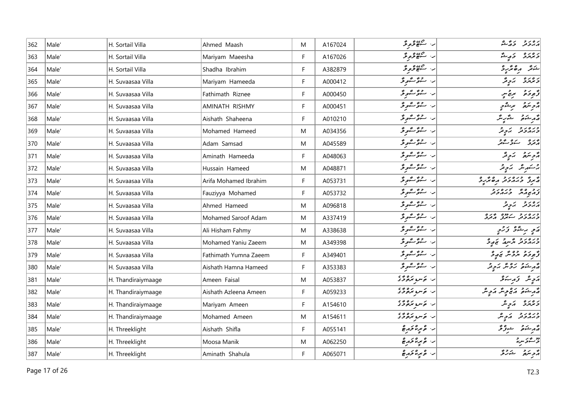| 362 | Male' | H. Sortail Villa   | Ahmed Maash           | M           | A167024 | ر. سىھۇھ <sub>ۇ</sub> ئە  | رەر درمۇ                                   |
|-----|-------|--------------------|-----------------------|-------------|---------|---------------------------|--------------------------------------------|
| 363 | Male' | H. Sortail Villa   | Mariyam Maeesha       | F           | A167026 | را جمعة و و و گ           | ر ه پر ه<br>تر <i>پر</i> بر ژ<br>كركم مشكر |
| 364 | Male' | H. Sortail Villa   | Shadha Ibrahim        | $\mathsf F$ | A382879 | ر. سىھۇەرگە               | شكر رەمزر                                  |
| 365 | Male' | H. Suvaasaa Villa  | Mariyam Hameeda       | F           | A000412 | ر. رقمۇشگەرگە             | ر ه ر ه<br><del>ر</del> بربرگ<br>برَرٍ قُر |
| 366 | Male' | H. Suvaasaa Villa  | Fathimath Riznee      | F           | A000450 | ر. سۇرگەرگە               | ۇ بو ئەم<br>ىرىتج بىر                      |
| 367 | Male' | H. Suvaasaa Villa  | AMINATH RISHMY        | F           | A000451 | ر. سۇرگەرۇ                | أأترسكم الترسطاني                          |
| 368 | Male' | H. Suvaasaa Villa  | Aishath Shaheena      | F           | A010210 | ر. سۇڭ ش <sub>ەر</sub> ىخ | ۇرىشكى ئىگرىگە                             |
| 369 | Male' | H. Suvaasaa Villa  | Mohamed Hameed        | M           | A034356 | ر. سۇم ئىمرۇ              | כנסנכ בבי                                  |
| 370 | Male' | H. Suvaasaa Villa  | Adam Samsad           | M           | A045589 | ر. سۇرگەرگە               | ەرە بەھ ھەر                                |
| 371 | Male' | H. Suvaasaa Villa  | Aminath Hameeda       | F           | A048063 | ر. سۇقسۇمۇ                | ړې سره پرېږ تر                             |
| 372 | Male' | H. Suvaasaa Villa  | Hussain Hameed        | M           | A048871 | ر. سۇم ئىستورگە           |                                            |
| 373 | Male' | H. Suvaasaa Villa  | Arifa Mohamed Ibrahim | $\mathsf F$ | A053731 | ر. سۇرگەرۇ                |                                            |
| 374 | Male' | H. Suvaasaa Villa  | Fauziyya Mohamed      | F           | A053732 | ر. سۇڭسۇرۇ                | נגים כנסנים<br>נגים הלי המהכת              |
| 375 | Male' | H. Suvaasaa Villa  | Ahmed Hameed          | M           | A096818 | ر. سۇرگەرگە               | ړه ده پروتر                                |
| 376 | Male' | H. Suvaasaa Villa  | Mohamed Saroof Adam   | M           | A337419 | ر. سۇم ئىستورگە           | כנסגב גדם שגם<br>כגתכת — יצג תתכ           |
| 377 | Male' | H. Suvaasaa Villa  | Ali Hisham Fahmy      | M           | A338638 | ر. سۇرگەرگە               | ړې برختو زرې                               |
| 378 | Male' | H. Suvaasaa Villa  | Mohamed Yaniu Zaeem   | M           | A349398 | ر. سۇم ئىمو ئ             | ورورو وسره نمده                            |
| 379 | Male' | H. Suvaasaa Villa  | Fathimath Yumna Zaeem | F           | A349401 | ر. سۇرگىمۇ ئۇ             | توجد ووه بمده                              |
| 380 | Male' | H. Suvaasaa Villa  | Aishath Hamna Hameed  | F           | A353383 | ر. سۇڭ شەرۇ               | و المستقر المستقر المستحديد                |
| 381 | Male' | H. Thandiraiymaage | Ameen Faisal          | M           | A053837 | ر په کارونوی              | كالمحي توالا وكالمستكفر                    |
| 382 | Male' | H. Thandiraiymaage | Aishath Azleena Ameen | $\mathsf F$ | A059233 | ر په کارو لره وي          | وأرجنتم وعرج ويتر وكرم                     |
| 383 | Male' | H. Thandiraiymaage | Mariyam Ameen         | F           | A154610 | ر. ەسرىم دەپ              | دەرە مەرھ                                  |
| 384 | Male' | H. Thandiraiymaage | Mohamed Ameen         | M           | A154611 | ر که سومره وه و           | ورەرو كەچىگ                                |
| 385 | Male' | H. Threeklight     | Aishath Shifla        | F           | A055141 | ر ، مح پر نام تر ہر ھ     | و د شوه شوره د<br>د د شوه شوره د           |
| 386 | Male' | H. Threeklight     | Moosa Manik           | M           | A062250 | ر و مړينو کره             | أوسنوسره                                   |
| 387 | Male' | H. Threeklight     | Aminath Shahula       | F           | A065071 | ر و مړينو کړه             | أروبترة المشررة                            |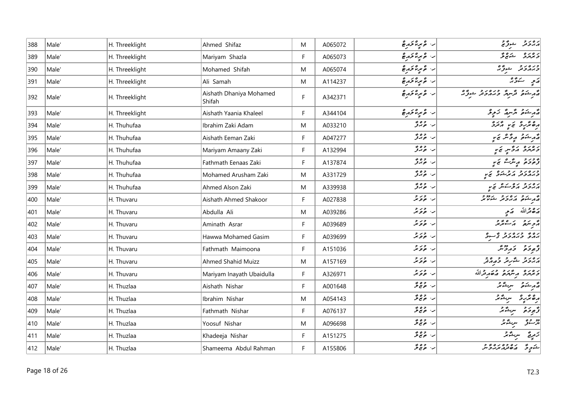| 388 | Male' | H. Threeklight | Ahmed Shifaz                      | M           | A065072 | ر ، می پر با خرم ه | پره پر په مورځ تنې<br>  پر پر پر په مورځ تنې                                                         |
|-----|-------|----------------|-----------------------------------|-------------|---------|--------------------|------------------------------------------------------------------------------------------------------|
| 389 | Male' | H. Threeklight | Mariyam Shazla                    | F           | A065073 | ر و مرغ ځه و       | رەرە شەھۇ                                                                                            |
| 390 | Male' | H. Threeklight | Mohamed Shifah                    | M           | A065074 | ر و مرغ ځه و       | ورەرو جوگر                                                                                           |
| 391 | Male' | H. Threeklight | Ali Samah                         | M           | A114237 | ر ، ۇبرىئورۇ       | پر په سنڌي                                                                                           |
| 392 | Male' | H. Threeklight | Aishath Dhaniya Mohamed<br>Shifah | F           | A342371 | ~ ، هو پر مؤمر ره  | ه مشوه ترسر ورور و شور و                                                                             |
| 393 | Male' | H. Threeklight | Aishath Yaania Khaleel            | F           | A344104 | ر ، ۇبرىئومۇ       | و الله عنده الله الله الله عليه الله عليه الله عليه الله عليه الله عليه الله عليه الله عليه الله علي |
| 394 | Male' | H. Thuhufaa    | Ibrahim Zaki Adam                 | M           | A033210 | ر. وەبى            | ת שית כי זי היה כ                                                                                    |
| 395 | Male' | H. Thuhufaa    | Aishath Eeman Zaki                | F           | A047277 | ر. چەرىچ           | مەر ئىكى مەڭ ئى ئ                                                                                    |
| 396 | Male' | H. Thuhufaa    | Mariyam Amaany Zaki               | $\mathsf F$ | A132994 | ر. چەرىچ           | و مرده رژه پر نم                                                                                     |
| 397 | Male' | H. Thuhufaa    | Fathmath Eenaas Zaki              | F.          | A137874 | ر. چەرىچ           | ودرد په شو پې                                                                                        |
| 398 | Male' | H. Thuhufaa    | Mohamed Arusham Zaki              | M           | A331729 | ر. وەپ             |                                                                                                      |
| 399 | Male' | H. Thuhufaa    | Ahmed Alson Zaki                  | M           | A339938 | ر. وەپى            | رەرد روسەر ت                                                                                         |
| 400 | Male' | H. Thuvaru     | Aishath Ahmed Shakoor             | F           | A027838 | ر . ور و           | د درود ده ده درود و<br>د کم شوی د بروتر شونامر                                                       |
| 401 | Male' | H. Thuvaru     | Abdulla Ali                       | M           | A039286 | ر په در د          | رە داللە كەمچە                                                                                       |
| 402 | Male' | H. Thuvaru     | Aminath Asrar                     | F           | A039689 | ر . ور و           | ה ביתו ה ביתוב                                                                                       |
| 403 | Male' | H. Thuvaru     | Hawwa Mohamed Gasim               | F.          | A039699 | ر، نوع بر          | رە پە دىرەردە سەر                                                                                    |
| 404 | Male' | H. Thuvaru     | Fathmath Maimoona                 | F           | A151036 | ر . ور و           | و ده دوسر                                                                                            |
| 405 | Male' | H. Thuvaru     | <b>Ahmed Shahid Muizz</b>         | M           | A157169 | ر په در د          | גפנד באתי לגמר                                                                                       |
| 406 | Male' | H. Thuvaru     | Mariyam Inayath Ubaidulla         | $\mathsf F$ | A326971 | ر ورو              | روره مشرو وحدوالله                                                                                   |
| 407 | Male' | H. Thuzlaa     | Aishath Nishar                    | F           | A001648 | ر. چې بخه          | أقهر مشكرة المستور المحمد                                                                            |
| 408 | Male' | H. Thuzlaa     | Ibrahim Nishar                    | M           | A054143 | ر. چې بخه          | رەپرى <sub>ر</sub><br>مەنبەر س                                                                       |
| 409 | Male' | H. Thuzlaa     | Fathmath Nishar                   | F           | A076137 | ر. چې بخ           | وتمودة الرائية                                                                                       |
| 410 | Male' | H. Thuzlaa     | Yoosuf Nishar                     | M           | A096698 | ر. ءوء پُو         | دو وه<br>ترسونو سریشونو                                                                              |
| 411 | Male' | H. Thuzlaa     | Khadeeja Nishar                   | F           | A151275 | ر، حوي تژ          | زَمِرِيحٌ سَرِيشٌ مِنْ                                                                               |
| 412 | Male' | H. Thuzlaa     | Shameema Abdul Rahman             | F           | A155806 | ر. ءوء پُو         | لشورة م201000000                                                                                     |
|     |       |                |                                   |             |         |                    |                                                                                                      |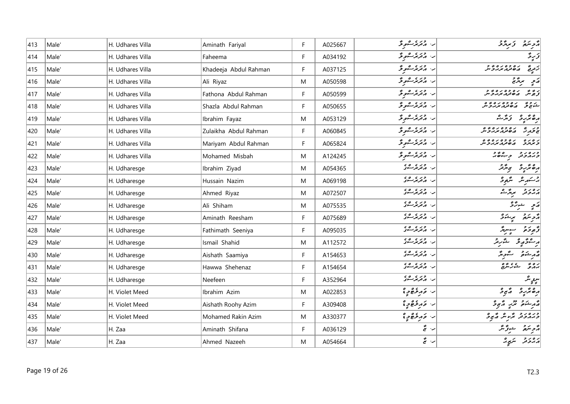| 413 | Male' | H. Udhares Villa | Aminath Fariyal       | F           | A025667 |                                | أقرحتم وسرقم                                                          |
|-----|-------|------------------|-----------------------|-------------|---------|--------------------------------|-----------------------------------------------------------------------|
| 414 | Male' | H. Udhares Villa | Faheema               | F           | A034192 |                                | ى ئەرچ<br>كىمىيەتى                                                    |
| 415 | Male' | H. Udhares Villa | Khadeeja Abdul Rahman | F           | A037125 |                                | ر ٥ ر ٥ ر ٥ ر و و<br>پر ه تو پر بر بر بر<br>نزىرىچ                    |
| 416 | Male' | H. Udhares Villa | Ali Riyaz             | M           | A050598 | ر. جۇ ئەرجىم ئۇ                | أوسمي سرور تبرج                                                       |
| 417 | Male' | H. Udhares Villa | Fathona Abdul Rahman  | F           | A050599 | ر. د تریز شورتخ                | ر په در ره ده ره په د<br>زېږس پره تر پر پر تر س                       |
| 418 | Male' | H. Udhares Villa | Shazla Abdul Rahman   | F           | A050655 |                                | ر ه د ه د ه د ه<br>پره تر پر پر تر س<br>ے تر تر گر                    |
| 419 | Male' | H. Udhares Villa | Ibrahim Fayaz         | ${\sf M}$   | A053129 | ر. د تریز شورتخ                | أرەپۇر ئەر ئەر                                                        |
| 420 | Male' | H. Udhares Villa | Zulaikha Abdul Rahman | $\mathsf F$ | A060845 | ر. جریم شوی                    | ر ه وه ر ه د ه<br>پره تربر تر ش<br>ە ئەرگە<br>ئى                      |
| 421 | Male' | H. Udhares Villa | Mariyam Abdul Rahman  | $\mathsf F$ | A065824 |                                | ر ه و ه ر ه د ه<br>پره تر پر پر تر س<br>ر ه ر ه<br><del>ر</del> بربرگ |
| 422 | Male' | H. Udhares Villa | Mohamed Misbah        | ${\sf M}$   | A124245 |                                | כנסנכ כהיסי                                                           |
| 423 | Male' | H. Udharesge     | Ibrahim Ziyad         | M           | A054365 | ر. همز پر ۵ دی                 | رەتئەر ئىرتىر                                                         |
| 424 | Male' | H. Udharesge     | Hussain Nazim         | M           | A069198 |                                | 2سكەر سىر سىتىنجە                                                     |
| 425 | Male' | H. Udharesge     | Ahmed Riyaz           | M           | A072507 | ر . هر تر شده و پم             | رەرد پەرم                                                             |
| 426 | Male' | H. Udharesge     | Ali Shiham            | M           | A075535 |                                | ړې شرگرو<br>مړينې                                                     |
| 427 | Male' | H. Udharesge     | Aminath Reesham       | F           | A075689 |                                | أأترجم المتحفظ                                                        |
| 428 | Male' | H. Udharesge     | Fathimath Seeniya     | F           | A095035 | ر<br>ر تر <del>ب</del> ر سو .  |                                                                       |
| 429 | Male' | H. Udharesge     | Ismail Shahid         | M           | A112572 | ر . ور ، و ،<br>ر . مرتوبوسوي  | وستوصفه المقرقر                                                       |
| 430 | Male' | H. Udharesge     | Aishath Saamiya       | $\mathsf F$ | A154653 | ر<br>ر تر <del>ب</del> ر سو .  | أقرم شدة وستجرش                                                       |
| 431 | Male' | H. Udharesge     | Hawwa Shehenaz        | F           | A154654 | ر<br>ر تر <del>ب</del> ر سو .  | برەپچ<br>ے <sub>م</sub> محرچ                                          |
| 432 | Male' | H. Udharesge     | Neefeen               | $\mathsf F$ | A352964 |                                | سوپوینگر                                                              |
| 433 | Male' | H. Violet Meed   | Ibrahim Azim          | M           | A022853 | ر و مرکوم د ؟                  | مەھترىرى مەرى                                                         |
| 434 | Male' | H. Violet Meed   | Aishath Roohy Azim    | F           | A309408 | ر که دکھوره                    | وأرشكم مريم ومج                                                       |
| 435 | Male' | H. Violet Meed   | Mohamed Rakin Azim    | M           | A330377 | ر و مرکوم د ؟                  | ورەرو ئرىدىكە ئەنج                                                    |
| 436 | Male' | H. Zaa           | Aminath Shifana       | F           | A036129 | $\stackrel{\circ}{\epsilon}$ . | أترحر سترقته                                                          |
| 437 | Male' | H. Zaa           | Ahmed Nazeeh          | ${\sf M}$   | A054664 | $\stackrel{\circ}{\epsilon}$ . | د و د چې شمې ش                                                        |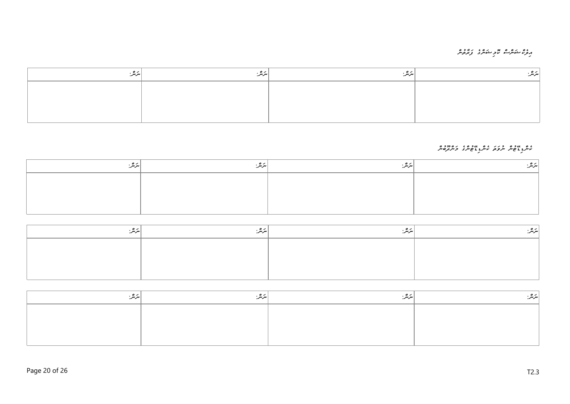## *w7qAn8m? sCw7mRo>u; wEw7mRw;sBo<*

| ' مرمر | 'يئرىثر: |
|--------|----------|
|        |          |
|        |          |
|        |          |

## *w7q9r@w7m> sCw7qHtFoFw7s; mAm=q7 w7qHtFoFw7s;*

| يئرمىش: | $^{\circ}$<br>. سر سر<br>$\cdot$ | $\circ$ $\sim$<br>-- | يئرمثر |
|---------|----------------------------------|----------------------|--------|
|         |                                  |                      |        |
|         |                                  |                      |        |
|         |                                  |                      |        |

| يره | $^{\circ}$ | $\frac{2}{n}$ | $^{\circ}$<br>سرسر. |
|-----|------------|---------------|---------------------|
|     |            |               |                     |
|     |            |               |                     |
|     |            |               |                     |

| ىرتىر: | 。<br>سر سر | .,<br>مرسر |
|--------|------------|------------|
|        |            |            |
|        |            |            |
|        |            |            |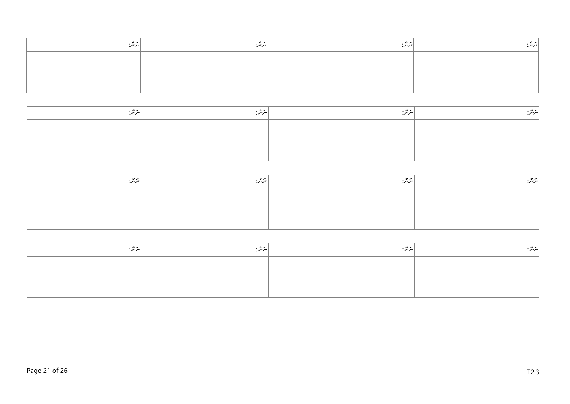| يره. | ο. | ا ير ه |  |
|------|----|--------|--|
|      |    |        |  |
|      |    |        |  |
|      |    |        |  |

| <sup>.</sup> سرسر. |  |
|--------------------|--|
|                    |  |
|                    |  |
|                    |  |

| ىئرىتر. | $\sim$ | ا بر هه. | لىرىش |
|---------|--------|----------|-------|
|         |        |          |       |
|         |        |          |       |
|         |        |          |       |

| 。<br>مرس. | $\overline{\phantom{a}}$<br>مر مىر | ىرىر |
|-----------|------------------------------------|------|
|           |                                    |      |
|           |                                    |      |
|           |                                    |      |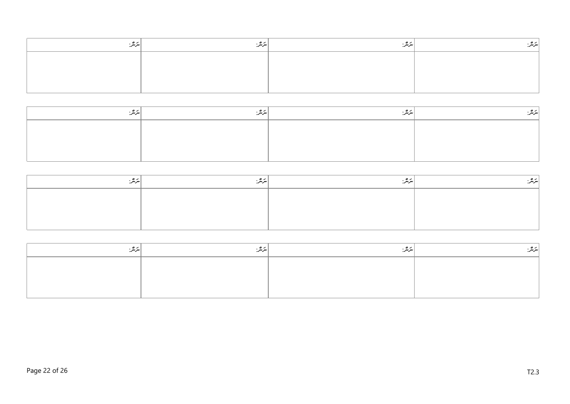| ير هو . | $\overline{\phantom{a}}$ | يرمر | اير هنه. |
|---------|--------------------------|------|----------|
|         |                          |      |          |
|         |                          |      |          |
|         |                          |      |          |

| ىر تىر: | $\circ$ $\sim$<br>" سرسر . | يبرحه | o . |
|---------|----------------------------|-------|-----|
|         |                            |       |     |
|         |                            |       |     |
|         |                            |       |     |

| 'تترنثر: | 。<br>,,,, |  |
|----------|-----------|--|
|          |           |  |
|          |           |  |
|          |           |  |

|  | . ه |
|--|-----|
|  |     |
|  |     |
|  |     |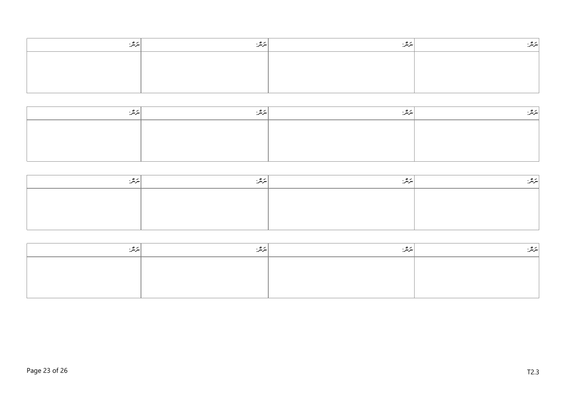| ير هو . | $\overline{\phantom{a}}$ | يرمر | اير هنه. |
|---------|--------------------------|------|----------|
|         |                          |      |          |
|         |                          |      |          |
|         |                          |      |          |

| ىر تىر: | $\circ$ $\sim$<br>" سرسر . | يبرحه | o . |
|---------|----------------------------|-------|-----|
|         |                            |       |     |
|         |                            |       |     |
|         |                            |       |     |

| 'تترنثر: | 。<br>,,,, |  |
|----------|-----------|--|
|          |           |  |
|          |           |  |
|          |           |  |

|  | . ه |
|--|-----|
|  |     |
|  |     |
|  |     |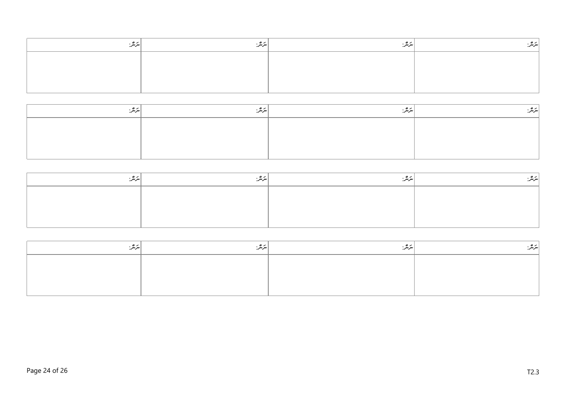| $\cdot$ | 。 | $\frac{\circ}{\cdot}$ | $\sim$<br>سرسر |
|---------|---|-----------------------|----------------|
|         |   |                       |                |
|         |   |                       |                |
|         |   |                       |                |

| يريثن | ' سرسر . |  |
|-------|----------|--|
|       |          |  |
|       |          |  |
|       |          |  |

| بر ه | . ه | $\sim$<br>سرسر |  |
|------|-----|----------------|--|
|      |     |                |  |
|      |     |                |  |
|      |     |                |  |

| 。<br>. س | ىرىىر |  |
|----------|-------|--|
|          |       |  |
|          |       |  |
|          |       |  |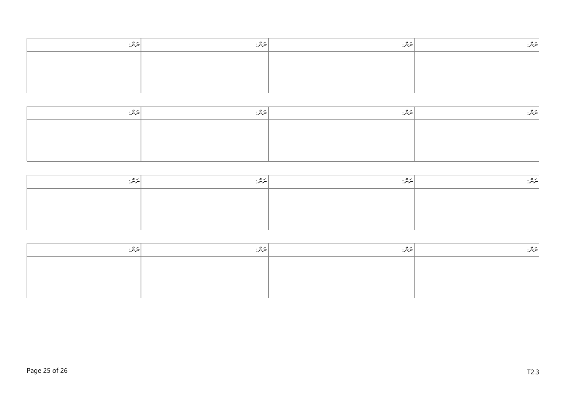| ير هو . | $\overline{\phantom{a}}$ | يرمر | اير هنه. |
|---------|--------------------------|------|----------|
|         |                          |      |          |
|         |                          |      |          |
|         |                          |      |          |

| ىر تىر: | $\circ$ $\sim$<br>" سرسر . | يبرحه | o . |
|---------|----------------------------|-------|-----|
|         |                            |       |     |
|         |                            |       |     |
|         |                            |       |     |

| انترنثر: | ر ه |  |
|----------|-----|--|
|          |     |  |
|          |     |  |
|          |     |  |

|  | . ه |
|--|-----|
|  |     |
|  |     |
|  |     |